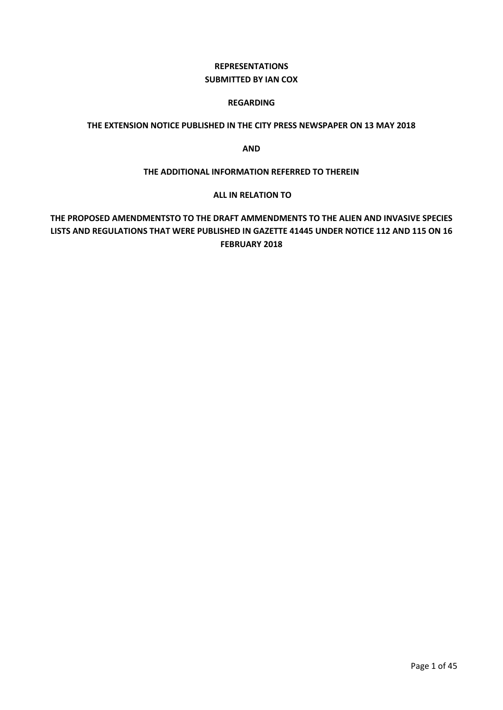## **REPRESENTATIONS SUBMITTED BY IAN COX**

#### **REGARDING**

## **THE EXTENSION NOTICE PUBLISHED IN THE CITY PRESS NEWSPAPER ON 13 MAY 2018**

**AND** 

#### **THE ADDITIONAL INFORMATION REFERRED TO THEREIN**

#### **ALL IN RELATION TO**

## **THE PROPOSED AMENDMENTSTO TO THE DRAFT AMMENDMENTS TO THE ALIEN AND INVASIVE SPECIES LISTS AND REGULATIONS THAT WERE PUBLISHED IN GAZETTE 41445 UNDER NOTICE 112 AND 115 ON 16 FEBRUARY 2018**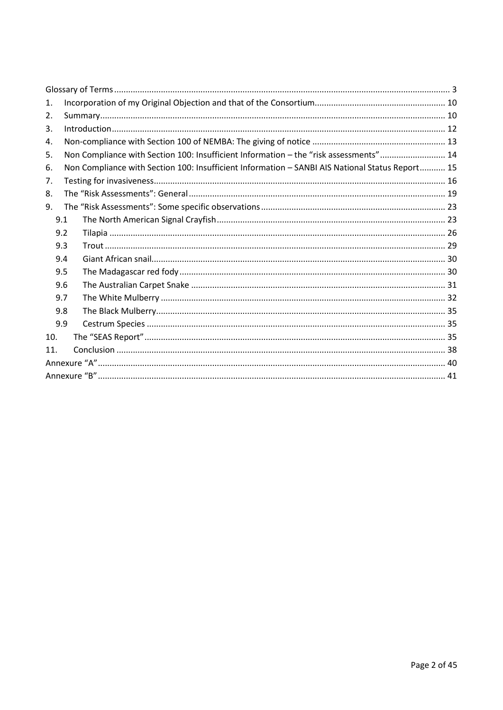| $\mathbf{1}$ . |     |  |                                                                                                 |  |  |
|----------------|-----|--|-------------------------------------------------------------------------------------------------|--|--|
| 2.             |     |  |                                                                                                 |  |  |
| 3.             |     |  |                                                                                                 |  |  |
| 4.             |     |  |                                                                                                 |  |  |
| 5.             |     |  | Non Compliance with Section 100: Insufficient Information - the "risk assessments" 14           |  |  |
| 6.             |     |  | Non Compliance with Section 100: Insufficient Information - SANBI AIS National Status Report 15 |  |  |
| 7.             |     |  |                                                                                                 |  |  |
| 8.             |     |  |                                                                                                 |  |  |
| 9.             |     |  |                                                                                                 |  |  |
|                | 9.1 |  |                                                                                                 |  |  |
|                | 9.2 |  |                                                                                                 |  |  |
|                | 9.3 |  |                                                                                                 |  |  |
|                | 9.4 |  |                                                                                                 |  |  |
|                | 9.5 |  |                                                                                                 |  |  |
|                | 9.6 |  |                                                                                                 |  |  |
|                | 9.7 |  |                                                                                                 |  |  |
|                | 9.8 |  |                                                                                                 |  |  |
|                | 9.9 |  |                                                                                                 |  |  |
| 10.            |     |  |                                                                                                 |  |  |
| 11.            |     |  |                                                                                                 |  |  |
|                |     |  |                                                                                                 |  |  |
|                |     |  |                                                                                                 |  |  |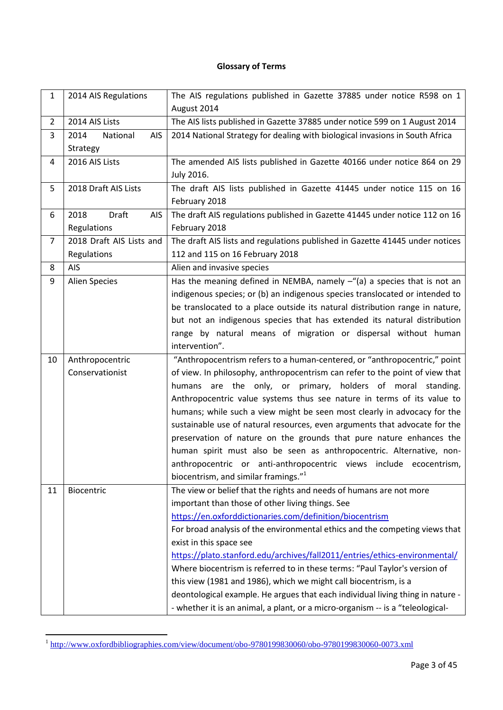## **Glossary of Terms**

<span id="page-2-0"></span>

| 1              | 2014 AIS Regulations                | The AIS regulations published in Gazette 37885 under notice R598 on 1<br>August 2014 |
|----------------|-------------------------------------|--------------------------------------------------------------------------------------|
| $\overline{2}$ | 2014 AIS Lists                      | The AIS lists published in Gazette 37885 under notice 599 on 1 August 2014           |
|                |                                     |                                                                                      |
| 3              | 2014<br>National<br>AIS<br>Strategy | 2014 National Strategy for dealing with biological invasions in South Africa         |
| 4              | 2016 AIS Lists                      | The amended AIS lists published in Gazette 40166 under notice 864 on 29              |
|                |                                     | July 2016.                                                                           |
| 5              | 2018 Draft AIS Lists                | The draft AIS lists published in Gazette 41445 under notice 115 on 16                |
|                |                                     | February 2018                                                                        |
| 6              | Draft<br>2018<br>AIS                | The draft AIS regulations published in Gazette 41445 under notice 112 on 16          |
|                | Regulations                         | February 2018                                                                        |
| 7              | 2018 Draft AIS Lists and            | The draft AIS lists and regulations published in Gazette 41445 under notices         |
|                | Regulations                         | 112 and 115 on 16 February 2018                                                      |
| 8              | <b>AIS</b>                          | Alien and invasive species                                                           |
| 9              | Alien Species                       | Has the meaning defined in NEMBA, namely $-\frac{u}{x}$ a species that is not an     |
|                |                                     | indigenous species; or (b) an indigenous species translocated or intended to         |
|                |                                     | be translocated to a place outside its natural distribution range in nature,         |
|                |                                     | but not an indigenous species that has extended its natural distribution             |
|                |                                     | range by natural means of migration or dispersal without human                       |
|                |                                     | intervention".                                                                       |
| 10             | Anthropocentric                     | "Anthropocentrism refers to a human-centered, or "anthropocentric," point            |
|                | Conservationist                     | of view. In philosophy, anthropocentrism can refer to the point of view that         |
|                |                                     | humans are the only, or primary, holders of moral standing.                          |
|                |                                     | Anthropocentric value systems thus see nature in terms of its value to               |
|                |                                     | humans; while such a view might be seen most clearly in advocacy for the             |
|                |                                     |                                                                                      |
|                |                                     | sustainable use of natural resources, even arguments that advocate for the           |
|                |                                     | preservation of nature on the grounds that pure nature enhances the                  |
|                |                                     | human spirit must also be seen as anthropocentric. Alternative, non-                 |
|                |                                     |                                                                                      |
|                |                                     | anthropocentric or anti-anthropocentric views include ecocentrism,                   |
|                |                                     | biocentrism, and similar framings." <sup>1</sup>                                     |
| 11             | Biocentric                          | The view or belief that the rights and needs of humans are not more                  |
|                |                                     | important than those of other living things. See                                     |
|                |                                     | https://en.oxforddictionaries.com/definition/biocentrism                             |
|                |                                     | For broad analysis of the environmental ethics and the competing views that          |
|                |                                     | exist in this space see                                                              |
|                |                                     | https://plato.stanford.edu/archives/fall2011/entries/ethics-environmental/           |
|                |                                     | Where biocentrism is referred to in these terms: "Paul Taylor's version of           |
|                |                                     | this view (1981 and 1986), which we might call biocentrism, is a                     |
|                |                                     | deontological example. He argues that each individual living thing in nature -       |

 1 <http://www.oxfordbibliographies.com/view/document/obo-9780199830060/obo-9780199830060-0073.xml>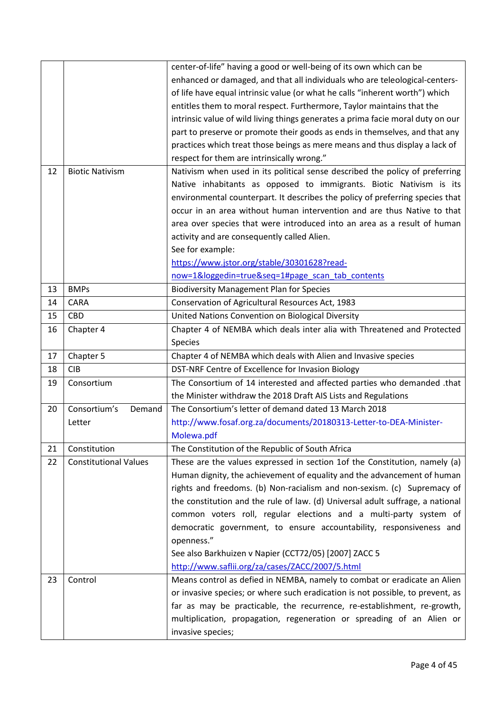|    |                              | center-of-life" having a good or well-being of its own which can be             |
|----|------------------------------|---------------------------------------------------------------------------------|
|    |                              | enhanced or damaged, and that all individuals who are teleological-centers-     |
|    |                              | of life have equal intrinsic value (or what he calls "inherent worth") which    |
|    |                              | entitles them to moral respect. Furthermore, Taylor maintains that the          |
|    |                              | intrinsic value of wild living things generates a prima facie moral duty on our |
|    |                              | part to preserve or promote their goods as ends in themselves, and that any     |
|    |                              | practices which treat those beings as mere means and thus display a lack of     |
|    |                              | respect for them are intrinsically wrong."                                      |
| 12 | <b>Biotic Nativism</b>       | Nativism when used in its political sense described the policy of preferring    |
|    |                              | Native inhabitants as opposed to immigrants. Biotic Nativism is its             |
|    |                              | environmental counterpart. It describes the policy of preferring species that   |
|    |                              | occur in an area without human intervention and are thus Native to that         |
|    |                              | area over species that were introduced into an area as a result of human        |
|    |                              | activity and are consequently called Alien.                                     |
|    |                              | See for example:                                                                |
|    |                              | https://www.jstor.org/stable/30301628?read-                                     |
|    |                              | now=1&loggedin=true&seq=1#page_scan_tab_contents                                |
| 13 | <b>BMPs</b>                  | <b>Biodiversity Management Plan for Species</b>                                 |
| 14 | CARA                         | Conservation of Agricultural Resources Act, 1983                                |
| 15 | <b>CBD</b>                   | United Nations Convention on Biological Diversity                               |
| 16 | Chapter 4                    | Chapter 4 of NEMBA which deals inter alia with Threatened and Protected         |
|    |                              | Species                                                                         |
| 17 | Chapter 5                    | Chapter 4 of NEMBA which deals with Alien and Invasive species                  |
| 18 | <b>CIB</b>                   | DST-NRF Centre of Excellence for Invasion Biology                               |
| 19 | Consortium                   | The Consortium of 14 interested and affected parties who demanded .that         |
|    |                              | the Minister withdraw the 2018 Draft AIS Lists and Regulations                  |
| 20 | Consortium's<br>Demand       | The Consortium's letter of demand dated 13 March 2018                           |
|    | Letter                       | http://www.fosaf.org.za/documents/20180313-Letter-to-DEA-Minister-              |
|    |                              | Molewa.pdf                                                                      |
| 21 | Constitution                 | The Constitution of the Republic of South Africa                                |
| 22 | <b>Constitutional Values</b> | These are the values expressed in section 1of the Constitution, namely (a)      |
|    |                              | Human dignity, the achievement of equality and the advancement of human         |
|    |                              | rights and freedoms. (b) Non-racialism and non-sexism. (c) Supremacy of         |
|    |                              | the constitution and the rule of law. (d) Universal adult suffrage, a national  |
|    |                              | common voters roll, regular elections and a multi-party system of               |
|    |                              | democratic government, to ensure accountability, responsiveness and             |
|    |                              | openness."                                                                      |
|    |                              | See also Barkhuizen v Napier (CCT72/05) [2007] ZACC 5                           |
|    |                              | http://www.saflii.org/za/cases/ZACC/2007/5.html                                 |
| 23 | Control                      | Means control as defied in NEMBA, namely to combat or eradicate an Alien        |
|    |                              | or invasive species; or where such eradication is not possible, to prevent, as  |
|    |                              |                                                                                 |
|    |                              | far as may be practicable, the recurrence, re-establishment, re-growth,         |
|    |                              | multiplication, propagation, regeneration or spreading of an Alien or           |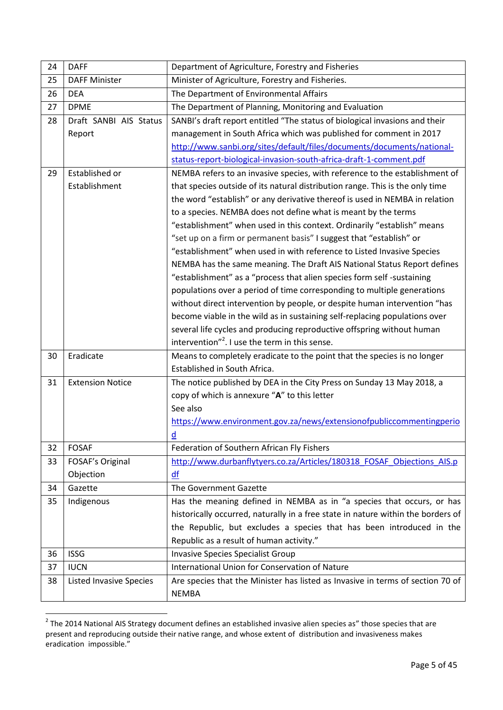| 24 | <b>DAFF</b>                    | Department of Agriculture, Forestry and Fisheries                                |
|----|--------------------------------|----------------------------------------------------------------------------------|
| 25 | <b>DAFF Minister</b>           | Minister of Agriculture, Forestry and Fisheries.                                 |
| 26 | <b>DEA</b>                     | The Department of Environmental Affairs                                          |
| 27 | <b>DPME</b>                    | The Department of Planning, Monitoring and Evaluation                            |
| 28 | Draft SANBI AIS Status         | SANBI's draft report entitled "The status of biological invasions and their      |
|    | Report                         | management in South Africa which was published for comment in 2017               |
|    |                                | http://www.sanbi.org/sites/default/files/documents/documents/national-           |
|    |                                | status-report-biological-invasion-south-africa-draft-1-comment.pdf               |
| 29 | Established or                 | NEMBA refers to an invasive species, with reference to the establishment of      |
|    | Establishment                  | that species outside of its natural distribution range. This is the only time    |
|    |                                | the word "establish" or any derivative thereof is used in NEMBA in relation      |
|    |                                | to a species. NEMBA does not define what is meant by the terms                   |
|    |                                | "establishment" when used in this context. Ordinarily "establish" means          |
|    |                                | "set up on a firm or permanent basis" I suggest that "establish" or              |
|    |                                | "establishment" when used in with reference to Listed Invasive Species           |
|    |                                | NEMBA has the same meaning. The Draft AIS National Status Report defines         |
|    |                                | "establishment" as a "process that alien species form self-sustaining            |
|    |                                | populations over a period of time corresponding to multiple generations          |
|    |                                | without direct intervention by people, or despite human intervention "has        |
|    |                                | become viable in the wild as in sustaining self-replacing populations over       |
|    |                                | several life cycles and producing reproductive offspring without human           |
|    |                                | intervention" <sup>2</sup> . I use the term in this sense.                       |
| 30 | Eradicate                      | Means to completely eradicate to the point that the species is no longer         |
|    |                                | Established in South Africa.                                                     |
| 31 | <b>Extension Notice</b>        | The notice published by DEA in the City Press on Sunday 13 May 2018, a           |
|    |                                | copy of which is annexure "A" to this letter                                     |
|    |                                | See also                                                                         |
|    |                                | https://www.environment.gov.za/news/extensionofpubliccommentingperio             |
|    |                                | d                                                                                |
| 32 | <b>FOSAF</b>                   | Federation of Southern African Fly Fishers                                       |
| 33 | FOSAF's Original               | http://www.durbanflytyers.co.za/Articles/180318 FOSAF Objections AIS.p           |
|    | Objection                      | df                                                                               |
| 34 | Gazette                        | The Government Gazette                                                           |
| 35 | Indigenous                     | Has the meaning defined in NEMBA as in "a species that occurs, or has            |
|    |                                | historically occurred, naturally in a free state in nature within the borders of |
|    |                                | the Republic, but excludes a species that has been introduced in the             |
|    |                                | Republic as a result of human activity."                                         |
| 36 | <b>ISSG</b>                    | <b>Invasive Species Specialist Group</b>                                         |
| 37 | <b>IUCN</b>                    | International Union for Conservation of Nature                                   |
| 38 | <b>Listed Invasive Species</b> | Are species that the Minister has listed as Invasive in terms of section 70 of   |
|    |                                | <b>NEMBA</b>                                                                     |

 2 The 2014 National AIS Strategy document defines an established invasive alien species as" those species that are present and reproducing outside their native range, and whose extent of distribution and invasiveness makes eradication impossible."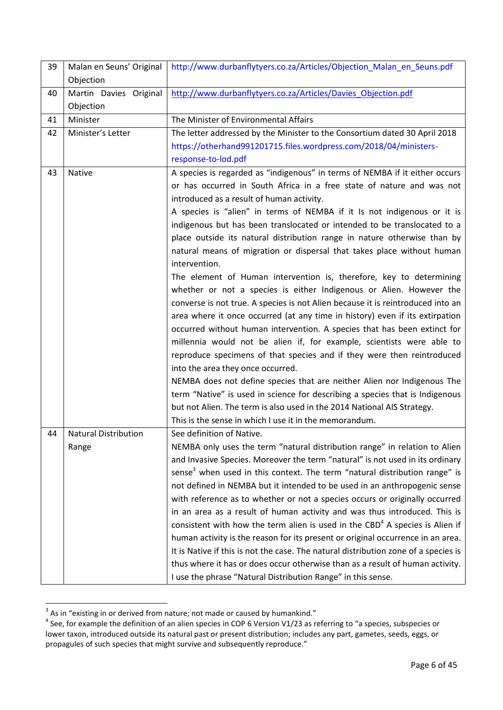| 39 | Malan en Seuns' Original<br>Objection | http://www.durbanflytyers.co.za/Articles/Objection Malan en Seuns.pdf                    |
|----|---------------------------------------|------------------------------------------------------------------------------------------|
| 40 | Martin Davies Original                | http://www.durbanflytyers.co.za/Articles/Davies_Objection.pdf                            |
|    | Objection                             |                                                                                          |
| 41 | Minister                              | The Minister of Environmental Affairs                                                    |
| 42 | Minister's Letter                     | The letter addressed by the Minister to the Consortium dated 30 April 2018               |
|    |                                       | https://otherhand991201715.files.wordpress.com/2018/04/ministers-                        |
|    |                                       | response-to-lod.pdf                                                                      |
| 43 | Native                                | A species is regarded as "indigenous" in terms of NEMBA if it either occurs              |
|    |                                       | or has occurred in South Africa in a free state of nature and was not                    |
|    |                                       | introduced as a result of human activity.                                                |
|    |                                       | A species is "alien" in terms of NEMBA if it Is not indigenous or it is                  |
|    |                                       | indigenous but has been translocated or intended to be translocated to a                 |
|    |                                       | place outside its natural distribution range in nature otherwise than by                 |
|    |                                       | natural means of migration or dispersal that takes place without human                   |
|    |                                       | intervention.                                                                            |
|    |                                       | The element of Human intervention is, therefore, key to determining                      |
|    |                                       | whether or not a species is either Indigenous or Alien. However the                      |
|    |                                       | converse is not true. A species is not Alien because it is reintroduced into an          |
|    |                                       | area where it once occurred (at any time in history) even if its extirpation             |
|    |                                       | occurred without human intervention. A species that has been extinct for                 |
|    |                                       | millennia would not be alien if, for example, scientists were able to                    |
|    |                                       | reproduce specimens of that species and if they were then reintroduced                   |
|    |                                       | into the area they once occurred.                                                        |
|    |                                       | NEMBA does not define species that are neither Alien nor Indigenous The                  |
|    |                                       | term "Native" is used in science for describing a species that is Indigenous             |
|    |                                       | but not Alien. The term is also used in the 2014 National AIS Strategy.                  |
|    |                                       | This is the sense in which I use it in the memorandum.                                   |
| 44 | <b>Natural Distribution</b>           | See definition of Native.                                                                |
|    | Range                                 | NEMBA only uses the term "natural distribution range" in relation to Alien               |
|    |                                       | and Invasive Species. Moreover the term "natural" is not used in its ordinary            |
|    |                                       | sense <sup>3</sup> when used in this context. The term "natural distribution range" is   |
|    |                                       | not defined in NEMBA but it intended to be used in an anthropogenic sense                |
|    |                                       | with reference as to whether or not a species occurs or originally occurred              |
|    |                                       | in an area as a result of human activity and was thus introduced. This is                |
|    |                                       | consistent with how the term alien is used in the CBD <sup>4</sup> A species is Alien if |
|    |                                       | human activity is the reason for its present or original occurrence in an area.          |
|    |                                       | It is Native if this is not the case. The natural distribution zone of a species is      |
|    |                                       | thus where it has or does occur otherwise than as a result of human activity.            |
|    |                                       | I use the phrase "Natural Distribution Range" in this sense.                             |

 3 As in "existing in or derived from nature; not made or caused by humankind." 4 See, for example the definition of an alien species in COP 6 Version V1/23 as referring to "a species, subspecies or lower taxon, introduced outside its natural past or present distribution; includes any part, gametes, seeds, eggs, or propagules of such species that might survive and subsequently reproduce."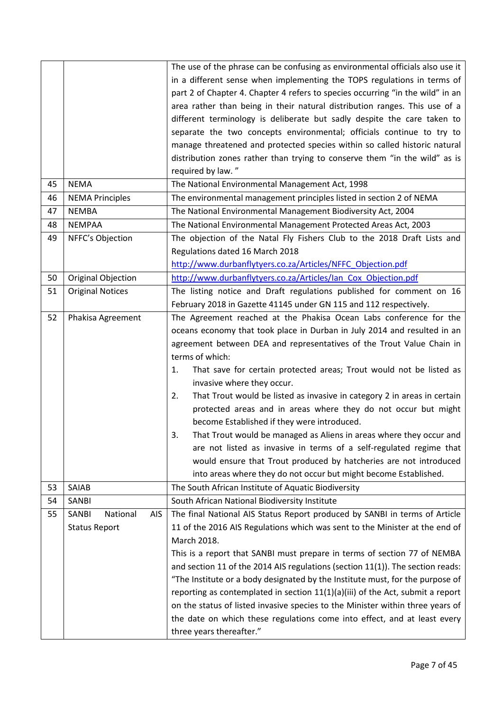|    |                                 | The use of the phrase can be confusing as environmental officials also use it    |
|----|---------------------------------|----------------------------------------------------------------------------------|
|    |                                 | in a different sense when implementing the TOPS regulations in terms of          |
|    |                                 | part 2 of Chapter 4. Chapter 4 refers to species occurring "in the wild" in an   |
|    |                                 | area rather than being in their natural distribution ranges. This use of a       |
|    |                                 | different terminology is deliberate but sadly despite the care taken to          |
|    |                                 | separate the two concepts environmental; officials continue to try to            |
|    |                                 | manage threatened and protected species within so called historic natural        |
|    |                                 | distribution zones rather than trying to conserve them "in the wild" as is       |
|    |                                 | required by law."                                                                |
| 45 | <b>NEMA</b>                     | The National Environmental Management Act, 1998                                  |
| 46 | <b>NEMA Principles</b>          | The environmental management principles listed in section 2 of NEMA              |
| 47 | <b>NEMBA</b>                    | The National Environmental Management Biodiversity Act, 2004                     |
| 48 | <b>NEMPAA</b>                   | The National Environmental Management Protected Areas Act, 2003                  |
| 49 | NFFC's Objection                | The objection of the Natal Fly Fishers Club to the 2018 Draft Lists and          |
|    |                                 | Regulations dated 16 March 2018                                                  |
|    |                                 | http://www.durbanflytyers.co.za/Articles/NFFC Objection.pdf                      |
| 50 | Original Objection              | http://www.durbanflytyers.co.za/Articles/Ian Cox Objection.pdf                   |
| 51 | <b>Original Notices</b>         | The listing notice and Draft regulations published for comment on 16             |
|    |                                 | February 2018 in Gazette 41145 under GN 115 and 112 respectively.                |
| 52 | Phakisa Agreement               | The Agreement reached at the Phakisa Ocean Labs conference for the               |
|    |                                 | oceans economy that took place in Durban in July 2014 and resulted in an         |
|    |                                 | agreement between DEA and representatives of the Trout Value Chain in            |
|    |                                 | terms of which:                                                                  |
|    |                                 | That save for certain protected areas; Trout would not be listed as<br>1.        |
|    |                                 | invasive where they occur.                                                       |
|    |                                 | That Trout would be listed as invasive in category 2 in areas in certain<br>2.   |
|    |                                 | protected areas and in areas where they do not occur but might                   |
|    |                                 | become Established if they were introduced.                                      |
|    |                                 | That Trout would be managed as Aliens in areas where they occur and<br>3.        |
|    |                                 | are not listed as invasive in terms of a self-regulated regime that              |
|    |                                 | would ensure that Trout produced by hatcheries are not introduced                |
|    |                                 | into areas where they do not occur but might become Established.                 |
| 53 | SAIAB                           | The South African Institute of Aquatic Biodiversity                              |
| 54 | SANBI                           | South African National Biodiversity Institute                                    |
| 55 | National<br><b>AIS</b><br>SANBI | The final National AIS Status Report produced by SANBI in terms of Article       |
|    | <b>Status Report</b>            | 11 of the 2016 AIS Regulations which was sent to the Minister at the end of      |
|    |                                 | March 2018.                                                                      |
|    |                                 | This is a report that SANBI must prepare in terms of section 77 of NEMBA         |
|    |                                 | and section 11 of the 2014 AIS regulations (section 11(1)). The section reads:   |
|    |                                 | "The Institute or a body designated by the Institute must, for the purpose of    |
|    |                                 | reporting as contemplated in section $11(1)(a)(iii)$ of the Act, submit a report |
|    |                                 | on the status of listed invasive species to the Minister within three years of   |
|    |                                 | the date on which these regulations come into effect, and at least every         |
|    |                                 | three years thereafter."                                                         |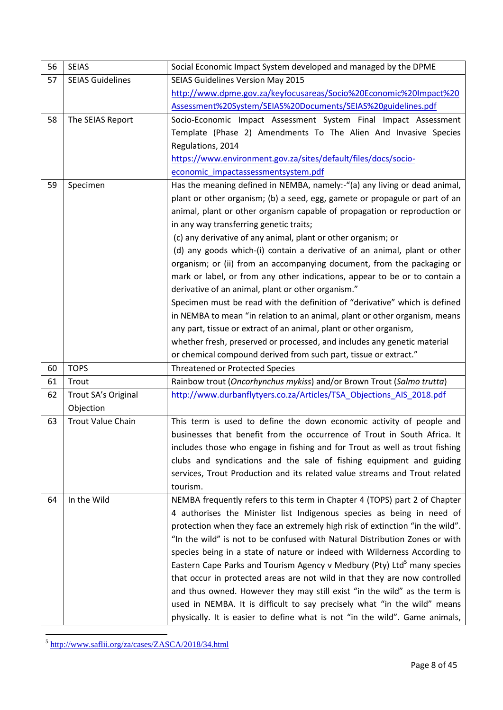| 56 | <b>SEIAS</b>             | Social Economic Impact System developed and managed by the DPME                     |
|----|--------------------------|-------------------------------------------------------------------------------------|
| 57 | <b>SEIAS Guidelines</b>  | <b>SEIAS Guidelines Version May 2015</b>                                            |
|    |                          | http://www.dpme.gov.za/keyfocusareas/Socio%20Economic%20Impact%20                   |
|    |                          | Assessment%20System/SEIAS%20Documents/SEIAS%20guidelines.pdf                        |
| 58 | The SEIAS Report         | Socio-Economic Impact Assessment System Final Impact Assessment                     |
|    |                          | Template (Phase 2) Amendments To The Alien And Invasive Species                     |
|    |                          | Regulations, 2014                                                                   |
|    |                          | https://www.environment.gov.za/sites/default/files/docs/socio-                      |
|    |                          | economic impactassessmentsystem.pdf                                                 |
| 59 | Specimen                 | Has the meaning defined in NEMBA, namely:-"(a) any living or dead animal,           |
|    |                          | plant or other organism; (b) a seed, egg, gamete or propagule or part of an         |
|    |                          | animal, plant or other organism capable of propagation or reproduction or           |
|    |                          | in any way transferring genetic traits;                                             |
|    |                          | (c) any derivative of any animal, plant or other organism; or                       |
|    |                          | (d) any goods which-(i) contain a derivative of an animal, plant or other           |
|    |                          | organism; or (ii) from an accompanying document, from the packaging or              |
|    |                          | mark or label, or from any other indications, appear to be or to contain a          |
|    |                          | derivative of an animal, plant or other organism."                                  |
|    |                          | Specimen must be read with the definition of "derivative" which is defined          |
|    |                          | in NEMBA to mean "in relation to an animal, plant or other organism, means          |
|    |                          | any part, tissue or extract of an animal, plant or other organism,                  |
|    |                          | whether fresh, preserved or processed, and includes any genetic material            |
|    |                          | or chemical compound derived from such part, tissue or extract."                    |
| 60 | <b>TOPS</b>              | <b>Threatened or Protected Species</b>                                              |
| 61 | Trout                    | Rainbow trout (Oncorhynchus mykiss) and/or Brown Trout (Salmo trutta)               |
| 62 | Trout SA's Original      | http://www.durbanflytyers.co.za/Articles/TSA_Objections_AIS_2018.pdf                |
|    | Objection                |                                                                                     |
| 63 | <b>Trout Value Chain</b> | This term is used to define the down economic activity of people and                |
|    |                          | businesses that benefit from the occurrence of Trout in South Africa. It            |
|    |                          | includes those who engage in fishing and for Trout as well as trout fishing         |
|    |                          | clubs and syndications and the sale of fishing equipment and guiding                |
|    |                          | services, Trout Production and its related value streams and Trout related          |
|    |                          | tourism.                                                                            |
| 64 | In the Wild              | NEMBA frequently refers to this term in Chapter 4 (TOPS) part 2 of Chapter          |
|    |                          | 4 authorises the Minister list Indigenous species as being in need of               |
|    |                          | protection when they face an extremely high risk of extinction "in the wild".       |
|    |                          | "In the wild" is not to be confused with Natural Distribution Zones or with         |
|    |                          | species being in a state of nature or indeed with Wilderness According to           |
|    |                          | Eastern Cape Parks and Tourism Agency v Medbury (Pty) Ltd <sup>5</sup> many species |
|    |                          | that occur in protected areas are not wild in that they are now controlled          |
|    |                          | and thus owned. However they may still exist "in the wild" as the term is           |
|    |                          | used in NEMBA. It is difficult to say precisely what "in the wild" means            |
|    |                          | physically. It is easier to define what is not "in the wild". Game animals,         |

-<br><sup>5</sup> <http://www.saflii.org/za/cases/ZASCA/2018/34.html>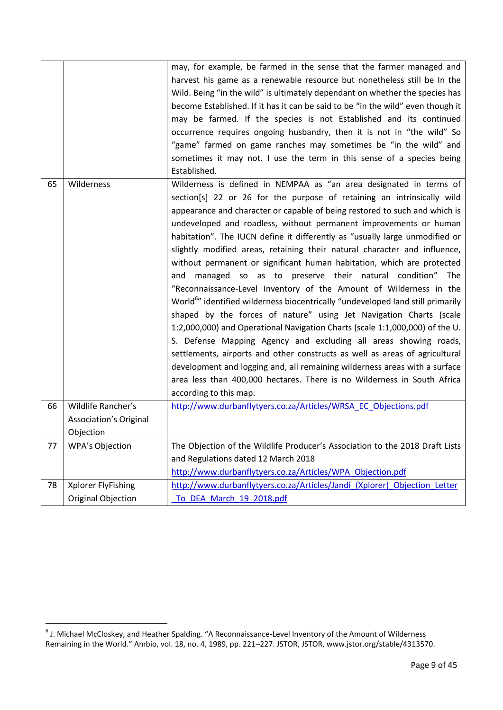|    |                        | may, for example, be farmed in the sense that the farmer managed and                        |
|----|------------------------|---------------------------------------------------------------------------------------------|
|    |                        | harvest his game as a renewable resource but nonetheless still be In the                    |
|    |                        | Wild. Being "in the wild" is ultimately dependant on whether the species has                |
|    |                        | become Established. If it has it can be said to be "in the wild" even though it             |
|    |                        | may be farmed. If the species is not Established and its continued                          |
|    |                        | occurrence requires ongoing husbandry, then it is not in "the wild" So                      |
|    |                        | "game" farmed on game ranches may sometimes be "in the wild" and                            |
|    |                        | sometimes it may not. I use the term in this sense of a species being                       |
|    |                        | Established.                                                                                |
| 65 | Wilderness             | Wilderness is defined in NEMPAA as "an area designated in terms of                          |
|    |                        | section[s] 22 or 26 for the purpose of retaining an intrinsically wild                      |
|    |                        | appearance and character or capable of being restored to such and which is                  |
|    |                        | undeveloped and roadless, without permanent improvements or human                           |
|    |                        | habitation". The IUCN define it differently as "usually large unmodified or                 |
|    |                        | slightly modified areas, retaining their natural character and influence,                   |
|    |                        | without permanent or significant human habitation, which are protected                      |
|    |                        | and managed so as to preserve their natural condition" The                                  |
|    |                        | "Reconnaissance-Level Inventory of the Amount of Wilderness in the                          |
|    |                        | World <sup>6</sup> " identified wilderness biocentrically "undeveloped land still primarily |
|    |                        | shaped by the forces of nature" using Jet Navigation Charts (scale                          |
|    |                        | 1:2,000,000) and Operational Navigation Charts (scale 1:1,000,000) of the U.                |
|    |                        | S. Defense Mapping Agency and excluding all areas showing roads,                            |
|    |                        | settlements, airports and other constructs as well as areas of agricultural                 |
|    |                        | development and logging and, all remaining wilderness areas with a surface                  |
|    |                        | area less than 400,000 hectares. There is no Wilderness in South Africa                     |
|    |                        | according to this map.                                                                      |
| 66 | Wildlife Rancher's     | http://www.durbanflytyers.co.za/Articles/WRSA_EC_Objections.pdf                             |
|    | Association's Original |                                                                                             |
|    | Objection              |                                                                                             |
| 77 | <b>WPA's Objection</b> | The Objection of the Wildlife Producer's Association to the 2018 Draft Lists                |
|    |                        | and Regulations dated 12 March 2018                                                         |
|    |                        | http://www.durbanflytyers.co.za/Articles/WPA Objection.pdf                                  |
| 78 | Xplorer FlyFishing     | http://www.durbanflytyers.co.za/Articles/Jandi (Xplorer) Objection Letter                   |
|    | Original Objection     | To DEA March 19 2018.pdf                                                                    |

 6 J. Michael McCloskey, and Heather Spalding. "A Reconnaissance-Level Inventory of the Amount of Wilderness Remaining in the World." Ambio, vol. 18, no. 4, 1989, pp. 221–227. JSTOR, JSTOR, www.jstor.org/stable/4313570.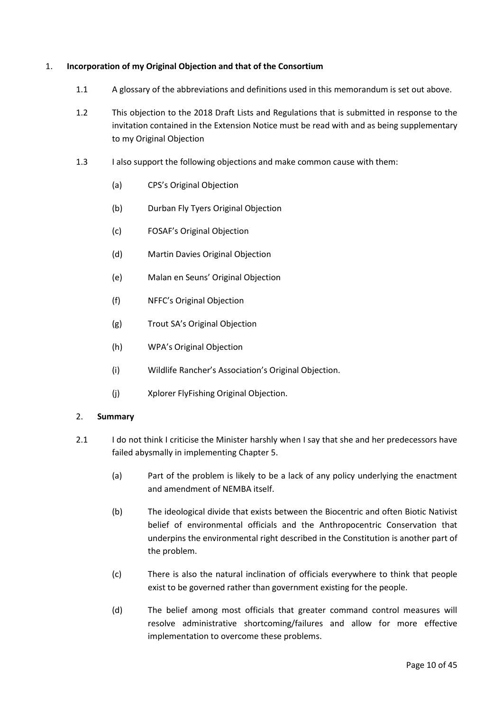#### <span id="page-9-0"></span>1. **Incorporation of my Original Objection and that of the Consortium**

- 1.1 A glossary of the abbreviations and definitions used in this memorandum is set out above.
- 1.2 This objection to the 2018 Draft Lists and Regulations that is submitted in response to the invitation contained in the Extension Notice must be read with and as being supplementary to my Original Objection
- 1.3 I also support the following objections and make common cause with them:
	- (a) CPS's Original Objection
	- (b) Durban Fly Tyers Original Objection
	- (c) FOSAF's Original Objection
	- (d) Martin Davies Original Objection
	- (e) Malan en Seuns' Original Objection
	- (f) NFFC's Original Objection
	- (g) Trout SA's Original Objection
	- (h) WPA's Original Objection
	- (i) Wildlife Rancher's Association's Original Objection.
	- (j) Xplorer FlyFishing Original Objection.

#### <span id="page-9-1"></span>2. **Summary**

- 2.1 I do not think I criticise the Minister harshly when I say that she and her predecessors have failed abysmally in implementing Chapter 5.
	- (a) Part of the problem is likely to be a lack of any policy underlying the enactment and amendment of NEMBA itself.
	- (b) The ideological divide that exists between the Biocentric and often Biotic Nativist belief of environmental officials and the Anthropocentric Conservation that underpins the environmental right described in the Constitution is another part of the problem.
	- (c) There is also the natural inclination of officials everywhere to think that people exist to be governed rather than government existing for the people.
	- (d) The belief among most officials that greater command control measures will resolve administrative shortcoming/failures and allow for more effective implementation to overcome these problems.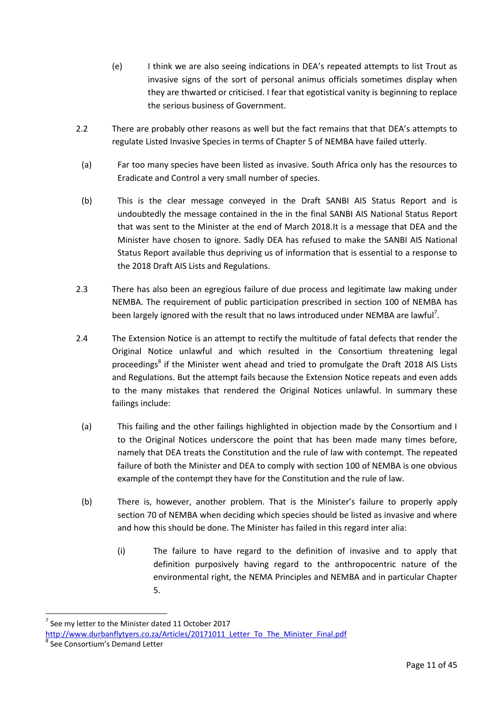- (e) I think we are also seeing indications in DEA's repeated attempts to list Trout as invasive signs of the sort of personal animus officials sometimes display when they are thwarted or criticised. I fear that egotistical vanity is beginning to replace the serious business of Government.
- 2.2 There are probably other reasons as well but the fact remains that that DEA's attempts to regulate Listed Invasive Species in terms of Chapter 5 of NEMBA have failed utterly.
	- (a) Far too many species have been listed as invasive. South Africa only has the resources to Eradicate and Control a very small number of species.
- (b) This is the clear message conveyed in the Draft SANBI AIS Status Report and is undoubtedly the message contained in the in the final SANBI AIS National Status Report that was sent to the Minister at the end of March 2018.It is a message that DEA and the Minister have chosen to ignore. Sadly DEA has refused to make the SANBI AIS National Status Report available thus depriving us of information that is essential to a response to the 2018 Draft AIS Lists and Regulations.
- 2.3 There has also been an egregious failure of due process and legitimate law making under NEMBA. The requirement of public participation prescribed in section 100 of NEMBA has been largely ignored with the result that no laws introduced under NEMBA are lawful<sup>7</sup>.
- 2.4 The Extension Notice is an attempt to rectify the multitude of fatal defects that render the Original Notice unlawful and which resulted in the Consortium threatening legal proceedings<sup>8</sup> if the Minister went ahead and tried to promulgate the Draft 2018 AIS Lists and Regulations. But the attempt fails because the Extension Notice repeats and even adds to the many mistakes that rendered the Original Notices unlawful. In summary these failings include:
- (a) This failing and the other failings highlighted in objection made by the Consortium and I to the Original Notices underscore the point that has been made many times before, namely that DEA treats the Constitution and the rule of law with contempt. The repeated failure of both the Minister and DEA to comply with section 100 of NEMBA is one obvious example of the contempt they have for the Constitution and the rule of law.
- (b) There is, however, another problem. That is the Minister's failure to properly apply section 70 of NEMBA when deciding which species should be listed as invasive and where and how this should be done. The Minister has failed in this regard inter alia:
	- (i) The failure to have regard to the definition of invasive and to apply that definition purposively having regard to the anthropocentric nature of the environmental right, the NEMA Principles and NEMBA and in particular Chapter 5.

<sup>7</sup> See my letter to the Minister dated 11 October 2017

http://www.durbanflytyers.co.za/Articles/20171011 Letter To The Minister Final.pdf

<sup>8</sup> See Consortium's Demand Letter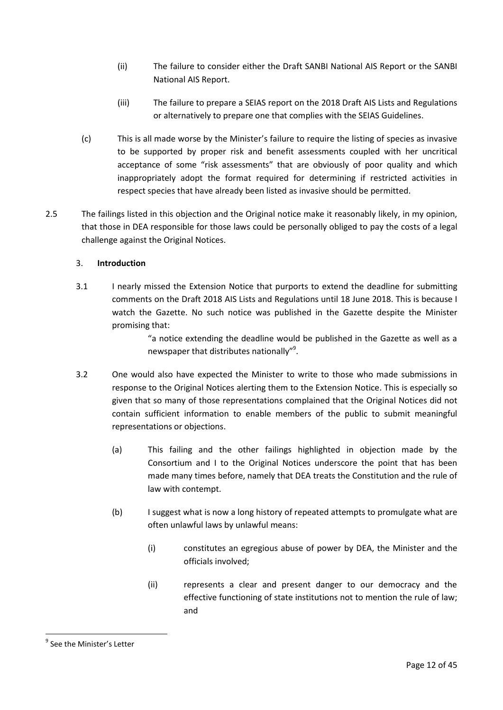- (ii) The failure to consider either the Draft SANBI National AIS Report or the SANBI National AIS Report.
- (iii) The failure to prepare a SEIAS report on the 2018 Draft AIS Lists and Regulations or alternatively to prepare one that complies with the SEIAS Guidelines.
- (c) This is all made worse by the Minister's failure to require the listing of species as invasive to be supported by proper risk and benefit assessments coupled with her uncritical acceptance of some "risk assessments" that are obviously of poor quality and which inappropriately adopt the format required for determining if restricted activities in respect species that have already been listed as invasive should be permitted.
- 2.5 The failings listed in this objection and the Original notice make it reasonably likely, in my opinion, that those in DEA responsible for those laws could be personally obliged to pay the costs of a legal challenge against the Original Notices.

## <span id="page-11-0"></span>3. **Introduction**

3.1 I nearly missed the Extension Notice that purports to extend the deadline for submitting comments on the Draft 2018 AIS Lists and Regulations until 18 June 2018. This is because I watch the Gazette. No such notice was published in the Gazette despite the Minister promising that:

> "a notice extending the deadline would be published in the Gazette as well as a newspaper that distributes nationally"<sup>9</sup>.

- 3.2 One would also have expected the Minister to write to those who made submissions in response to the Original Notices alerting them to the Extension Notice. This is especially so given that so many of those representations complained that the Original Notices did not contain sufficient information to enable members of the public to submit meaningful representations or objections.
	- (a) This failing and the other failings highlighted in objection made by the Consortium and I to the Original Notices underscore the point that has been made many times before, namely that DEA treats the Constitution and the rule of law with contempt.
	- (b) I suggest what is now a long history of repeated attempts to promulgate what are often unlawful laws by unlawful means:
		- (i) constitutes an egregious abuse of power by DEA, the Minister and the officials involved;
		- (ii) represents a clear and present danger to our democracy and the effective functioning of state institutions not to mention the rule of law; and

<sup>&</sup>lt;sup>9</sup> See the Minister's Letter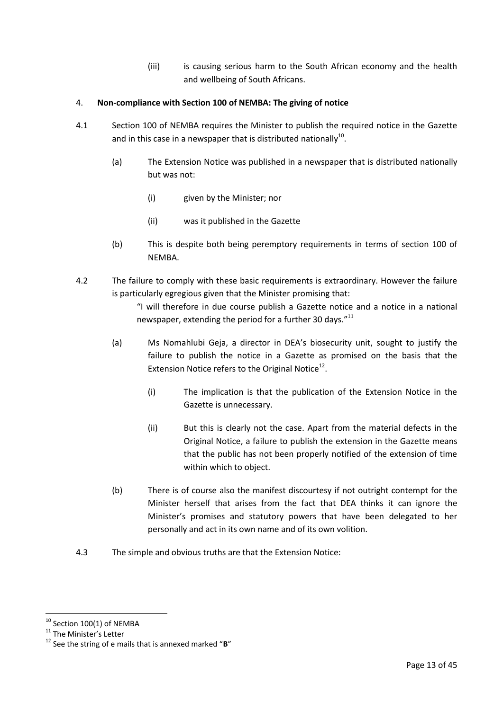(iii) is causing serious harm to the South African economy and the health and wellbeing of South Africans.

### <span id="page-12-0"></span>4. **Non-compliance with Section 100 of NEMBA: The giving of notice**

- 4.1 Section 100 of NEMBA requires the Minister to publish the required notice in the Gazette and in this case in a newspaper that is distributed nationally $^{10}$ .
	- (a) The Extension Notice was published in a newspaper that is distributed nationally but was not:
		- (i) given by the Minister; nor
		- (ii) was it published in the Gazette
	- (b) This is despite both being peremptory requirements in terms of section 100 of NEMBA.
- 4.2 The failure to comply with these basic requirements is extraordinary. However the failure is particularly egregious given that the Minister promising that:

"I will therefore in due course publish a Gazette notice and a notice in a national newspaper, extending the period for a further 30 days."<sup>11</sup>

- (a) Ms Nomahlubi Geja, a director in DEA's biosecurity unit, sought to justify the failure to publish the notice in a Gazette as promised on the basis that the Extension Notice refers to the Original Notice $^{12}$ .
	- (i) The implication is that the publication of the Extension Notice in the Gazette is unnecessary.
	- (ii) But this is clearly not the case. Apart from the material defects in the Original Notice, a failure to publish the extension in the Gazette means that the public has not been properly notified of the extension of time within which to object.
- (b) There is of course also the manifest discourtesy if not outright contempt for the Minister herself that arises from the fact that DEA thinks it can ignore the Minister's promises and statutory powers that have been delegated to her personally and act in its own name and of its own volition.
- 4.3 The simple and obvious truths are that the Extension Notice:

 $^{10}$  Section 100(1) of NEMBA

<sup>&</sup>lt;sup>11</sup> The Minister's Letter

<sup>12</sup> See the string of e mails that is annexed marked "**B**"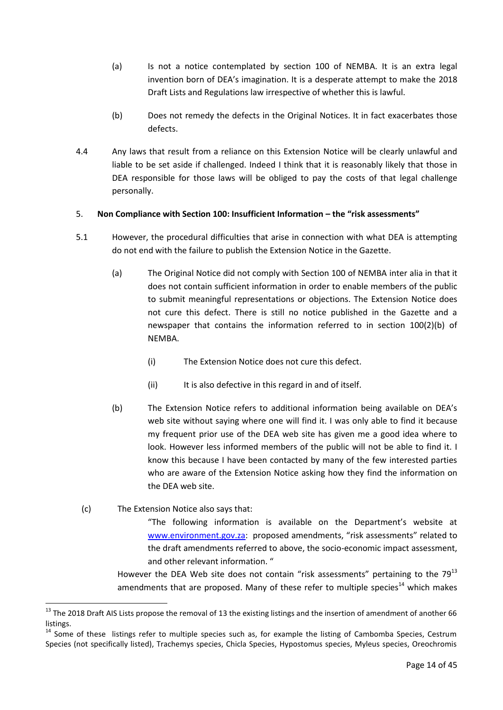- (a) Is not a notice contemplated by section 100 of NEMBA. It is an extra legal invention born of DEA's imagination. It is a desperate attempt to make the 2018 Draft Lists and Regulations law irrespective of whether this is lawful.
- (b) Does not remedy the defects in the Original Notices. It in fact exacerbates those defects.
- 4.4 Any laws that result from a reliance on this Extension Notice will be clearly unlawful and liable to be set aside if challenged. Indeed I think that it is reasonably likely that those in DEA responsible for those laws will be obliged to pay the costs of that legal challenge personally.

#### <span id="page-13-0"></span>5. **Non Compliance with Section 100: Insufficient Information – the "risk assessments"**

- 5.1 However, the procedural difficulties that arise in connection with what DEA is attempting do not end with the failure to publish the Extension Notice in the Gazette.
	- (a) The Original Notice did not comply with Section 100 of NEMBA inter alia in that it does not contain sufficient information in order to enable members of the public to submit meaningful representations or objections. The Extension Notice does not cure this defect. There is still no notice published in the Gazette and a newspaper that contains the information referred to in section 100(2)(b) of NEMBA.
		- (i) The Extension Notice does not cure this defect.
		- (ii) It is also defective in this regard in and of itself.
	- (b) The Extension Notice refers to additional information being available on DEA's web site without saying where one will find it. I was only able to find it because my frequent prior use of the DEA web site has given me a good idea where to look. However less informed members of the public will not be able to find it. I know this because I have been contacted by many of the few interested parties who are aware of the Extension Notice asking how they find the information on the DEA web site.
	- (c) The Extension Notice also says that:

<u>.</u>

"The following information is available on the Department's website at [www.environment.gov.za:](http://www.environment.gov.za/) proposed amendments, "risk assessments" related to the draft amendments referred to above, the socio-economic impact assessment, and other relevant information. "

However the DEA Web site does not contain "risk assessments" pertaining to the  $79^{13}$ amendments that are proposed. Many of these refer to multiple species $^{14}$  which makes

 $13$  The 2018 Draft AIS Lists propose the removal of 13 the existing listings and the insertion of amendment of another 66 listings.

<sup>&</sup>lt;sup>14</sup> Some of these listings refer to multiple species such as, for example the listing of Cambomba Species, Cestrum Species (not specifically listed), Trachemys species, Chicla Species, Hypostomus species, Myleus species, Oreochromis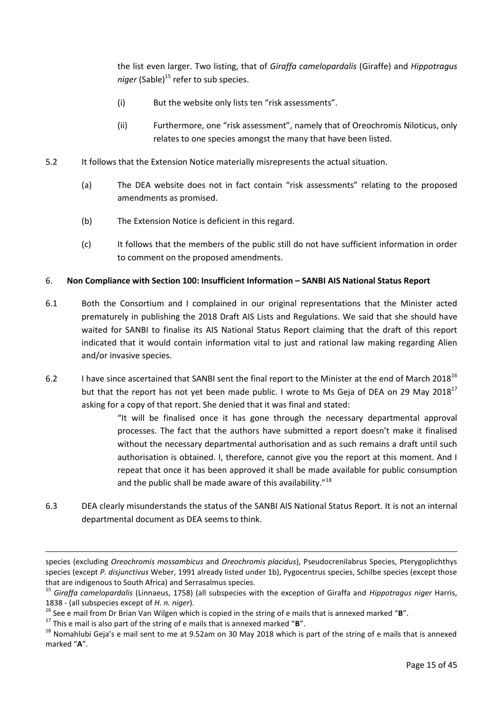the list even larger. Two listing, that of *Giraffa camelopardalis* (Giraffe) and *Hippotragus niger* (Sable)<sup>15</sup> refer to sub species.

- (i) But the website only lists ten "risk assessments".
- (ii) Furthermore, one "risk assessment", namely that of Oreochromis Niloticus, only relates to one species amongst the many that have been listed.
- 5.2 It follows that the Extension Notice materially misrepresents the actual situation.
	- (a) The DEA website does not in fact contain "risk assessments" relating to the proposed amendments as promised.
	- (b) The Extension Notice is deficient in this regard.
	- (c) It follows that the members of the public still do not have sufficient information in order to comment on the proposed amendments.

#### <span id="page-14-0"></span>6. **Non Compliance with Section 100: Insufficient Information – SANBI AIS National Status Report**

- 6.1 Both the Consortium and I complained in our original representations that the Minister acted prematurely in publishing the 2018 Draft AIS Lists and Regulations. We said that she should have waited for SANBI to finalise its AIS National Status Report claiming that the draft of this report indicated that it would contain information vital to just and rational law making regarding Alien and/or invasive species.
- 6.2 I have since ascertained that SANBI sent the final report to the Minister at the end of March 2018<sup>16</sup> but that the report has not yet been made public. I wrote to Ms Geja of DEA on 29 May 2018<sup>17</sup> asking for a copy of that report. She denied that it was final and stated:

"It will be finalised once it has gone through the necessary departmental approval processes. The fact that the authors have submitted a report doesn't make it finalised without the necessary departmental authorisation and as such remains a draft until such authorisation is obtained. I, therefore, cannot give you the report at this moment. And I repeat that once it has been approved it shall be made available for public consumption and the public shall be made aware of this availability."<sup>18</sup>

6.3 DEA clearly misunderstands the status of the SANBI AIS National Status Report. It is not an internal departmental document as DEA seems to think.

<u>.</u>

species (excluding *Oreochromis mossambicus* and *Oreochromis placidus*), Pseudocrenilabrus Species, Pterygoplichthys species (except *P. disjunctivus* Weber, 1991 already listed under 1b), Pygocentrus species, Schilbe species (except those that are indigenous to South Africa) and Serrasalmus species.

<sup>15</sup> *Giraffa camelopardalis* (Linnaeus, 1758) (all subspecies with the exception of Giraffa and *Hippotragus niger* Harris, 1838 - (all subspecies except of *H. n. niger*).

<sup>16</sup> See e mail from Dr Brian Van Wilgen which is copied in the string of e mails that is annexed marked "**B**".

<sup>17</sup> This e mail is also part of the string of e mails that is annexed marked "**B**".

 $18$  Nomahlubi Geja's e mail sent to me at 9.52am on 30 May 2018 which is part of the string of e mails that is annexed marked "**A**".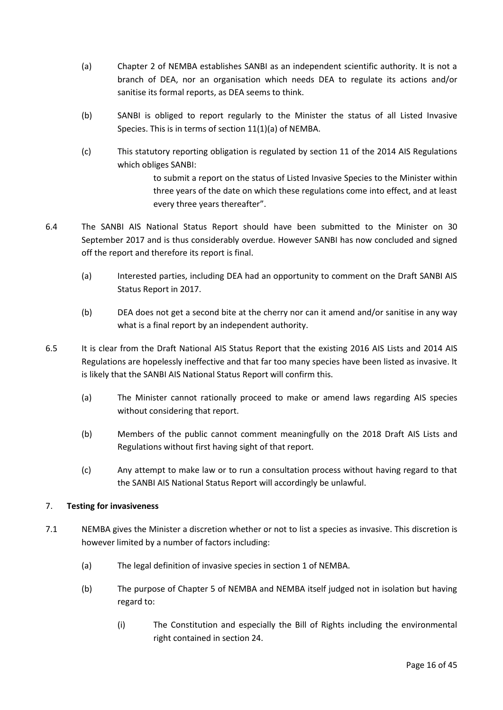- (a) Chapter 2 of NEMBA establishes SANBI as an independent scientific authority. It is not a branch of DEA, nor an organisation which needs DEA to regulate its actions and/or sanitise its formal reports, as DEA seems to think.
- (b) SANBI is obliged to report regularly to the Minister the status of all Listed Invasive Species. This is in terms of section 11(1)(a) of NEMBA.
- (c) This statutory reporting obligation is regulated by section 11 of the 2014 AIS Regulations which obliges SANBI:

to submit a report on the status of Listed Invasive Species to the Minister within three years of the date on which these regulations come into effect, and at least every three years thereafter".

- 6.4 The SANBI AIS National Status Report should have been submitted to the Minister on 30 September 2017 and is thus considerably overdue. However SANBI has now concluded and signed off the report and therefore its report is final.
	- (a) Interested parties, including DEA had an opportunity to comment on the Draft SANBI AIS Status Report in 2017.
	- (b) DEA does not get a second bite at the cherry nor can it amend and/or sanitise in any way what is a final report by an independent authority.
- 6.5 It is clear from the Draft National AIS Status Report that the existing 2016 AIS Lists and 2014 AIS Regulations are hopelessly ineffective and that far too many species have been listed as invasive. It is likely that the SANBI AIS National Status Report will confirm this.
	- (a) The Minister cannot rationally proceed to make or amend laws regarding AIS species without considering that report.
	- (b) Members of the public cannot comment meaningfully on the 2018 Draft AIS Lists and Regulations without first having sight of that report.
	- (c) Any attempt to make law or to run a consultation process without having regard to that the SANBI AIS National Status Report will accordingly be unlawful.

## <span id="page-15-0"></span>7. **Testing for invasiveness**

- 7.1 NEMBA gives the Minister a discretion whether or not to list a species as invasive. This discretion is however limited by a number of factors including:
	- (a) The legal definition of invasive species in section 1 of NEMBA.
	- (b) The purpose of Chapter 5 of NEMBA and NEMBA itself judged not in isolation but having regard to:
		- (i) The Constitution and especially the Bill of Rights including the environmental right contained in section 24.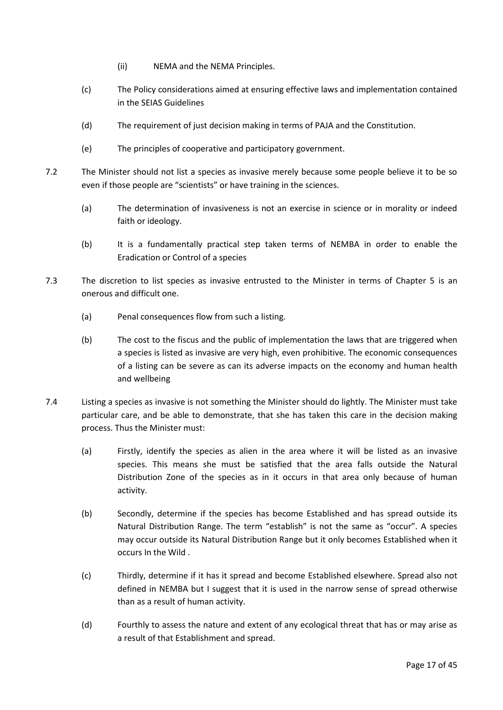- (ii) NEMA and the NEMA Principles.
- (c) The Policy considerations aimed at ensuring effective laws and implementation contained in the SEIAS Guidelines
- (d) The requirement of just decision making in terms of PAJA and the Constitution.
- (e) The principles of cooperative and participatory government.
- 7.2 The Minister should not list a species as invasive merely because some people believe it to be so even if those people are "scientists" or have training in the sciences.
	- (a) The determination of invasiveness is not an exercise in science or in morality or indeed faith or ideology.
	- (b) It is a fundamentally practical step taken terms of NEMBA in order to enable the Eradication or Control of a species
- 7.3 The discretion to list species as invasive entrusted to the Minister in terms of Chapter 5 is an onerous and difficult one.
	- (a) Penal consequences flow from such a listing.
	- (b) The cost to the fiscus and the public of implementation the laws that are triggered when a species is listed as invasive are very high, even prohibitive. The economic consequences of a listing can be severe as can its adverse impacts on the economy and human health and wellbeing
- 7.4 Listing a species as invasive is not something the Minister should do lightly. The Minister must take particular care, and be able to demonstrate, that she has taken this care in the decision making process. Thus the Minister must:
	- (a) Firstly, identify the species as alien in the area where it will be listed as an invasive species. This means she must be satisfied that the area falls outside the Natural Distribution Zone of the species as in it occurs in that area only because of human activity.
	- (b) Secondly, determine if the species has become Established and has spread outside its Natural Distribution Range. The term "establish" is not the same as "occur". A species may occur outside its Natural Distribution Range but it only becomes Established when it occurs In the Wild .
	- (c) Thirdly, determine if it has it spread and become Established elsewhere. Spread also not defined in NEMBA but I suggest that it is used in the narrow sense of spread otherwise than as a result of human activity.
	- (d) Fourthly to assess the nature and extent of any ecological threat that has or may arise as a result of that Establishment and spread.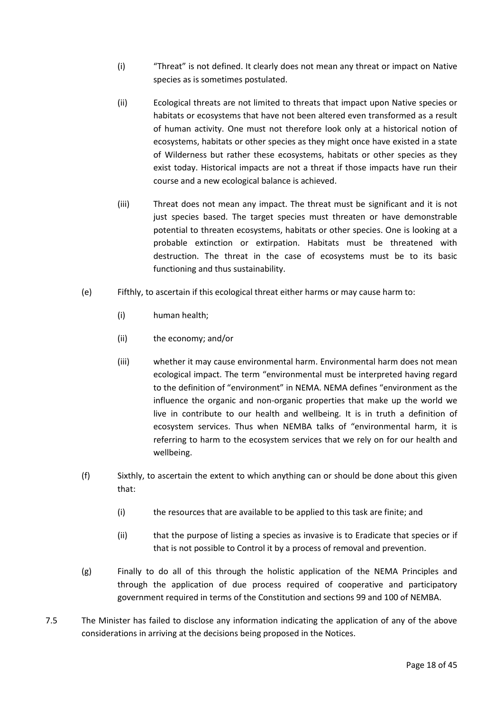- (i) "Threat" is not defined. It clearly does not mean any threat or impact on Native species as is sometimes postulated.
- (ii) Ecological threats are not limited to threats that impact upon Native species or habitats or ecosystems that have not been altered even transformed as a result of human activity. One must not therefore look only at a historical notion of ecosystems, habitats or other species as they might once have existed in a state of Wilderness but rather these ecosystems, habitats or other species as they exist today. Historical impacts are not a threat if those impacts have run their course and a new ecological balance is achieved.
- (iii) Threat does not mean any impact. The threat must be significant and it is not just species based. The target species must threaten or have demonstrable potential to threaten ecosystems, habitats or other species. One is looking at a probable extinction or extirpation. Habitats must be threatened with destruction. The threat in the case of ecosystems must be to its basic functioning and thus sustainability.
- (e) Fifthly, to ascertain if this ecological threat either harms or may cause harm to:
	- (i) human health;
	- (ii) the economy; and/or
	- (iii) whether it may cause environmental harm. Environmental harm does not mean ecological impact. The term "environmental must be interpreted having regard to the definition of "environment" in NEMA. NEMA defines "environment as the influence the organic and non-organic properties that make up the world we live in contribute to our health and wellbeing. It is in truth a definition of ecosystem services. Thus when NEMBA talks of "environmental harm, it is referring to harm to the ecosystem services that we rely on for our health and wellbeing.
- (f) Sixthly, to ascertain the extent to which anything can or should be done about this given that:
	- (i) the resources that are available to be applied to this task are finite; and
	- (ii) that the purpose of listing a species as invasive is to Eradicate that species or if that is not possible to Control it by a process of removal and prevention.
- (g) Finally to do all of this through the holistic application of the NEMA Principles and through the application of due process required of cooperative and participatory government required in terms of the Constitution and sections 99 and 100 of NEMBA.
- 7.5 The Minister has failed to disclose any information indicating the application of any of the above considerations in arriving at the decisions being proposed in the Notices.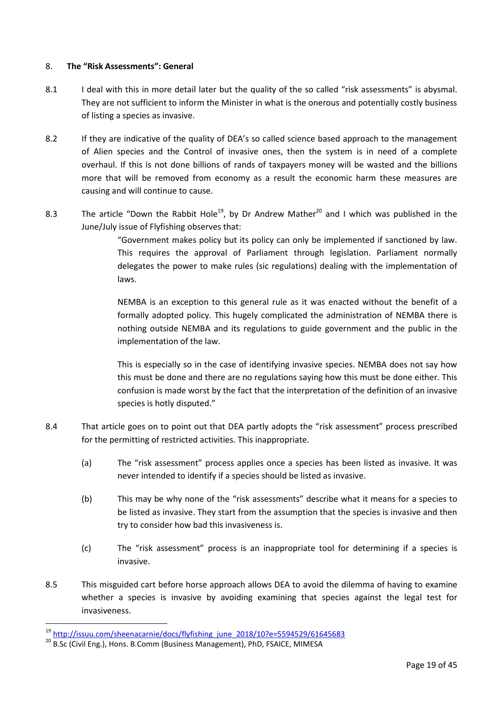#### <span id="page-18-0"></span>8. **The "Risk Assessments": General**

- 8.1 I deal with this in more detail later but the quality of the so called "risk assessments" is abysmal. They are not sufficient to inform the Minister in what is the onerous and potentially costly business of listing a species as invasive.
- 8.2 If they are indicative of the quality of DEA's so called science based approach to the management of Alien species and the Control of invasive ones, then the system is in need of a complete overhaul. If this is not done billions of rands of taxpayers money will be wasted and the billions more that will be removed from economy as a result the economic harm these measures are causing and will continue to cause.
- 8.3 The article "Down the Rabbit Hole<sup>19</sup>, by Dr Andrew Mather<sup>20</sup> and I which was published in the June/July issue of Flyfishing observes that:

"Government makes policy but its policy can only be implemented if sanctioned by law. This requires the approval of Parliament through legislation. Parliament normally delegates the power to make rules (sic regulations) dealing with the implementation of laws.

NEMBA is an exception to this general rule as it was enacted without the benefit of a formally adopted policy. This hugely complicated the administration of NEMBA there is nothing outside NEMBA and its regulations to guide government and the public in the implementation of the law.

This is especially so in the case of identifying invasive species. NEMBA does not say how this must be done and there are no regulations saying how this must be done either. This confusion is made worst by the fact that the interpretation of the definition of an invasive species is hotly disputed."

- 8.4 That article goes on to point out that DEA partly adopts the "risk assessment" process prescribed for the permitting of restricted activities. This inappropriate.
	- (a) The "risk assessment" process applies once a species has been listed as invasive. It was never intended to identify if a species should be listed as invasive.
	- (b) This may be why none of the "risk assessments" describe what it means for a species to be listed as invasive. They start from the assumption that the species is invasive and then try to consider how bad this invasiveness is.
	- (c) The "risk assessment" process is an inappropriate tool for determining if a species is invasive.
- 8.5 This misguided cart before horse approach allows DEA to avoid the dilemma of having to examine whether a species is invasive by avoiding examining that species against the legal test for invasiveness.

<u>.</u>

 $19$  [http://issuu.com/sheenacarnie/docs/flyfishing\\_june\\_2018/10?e=5594529/61645683](http://issuu.com/sheenacarnie/docs/flyfishing_june_2018/10?e=5594529/61645683)

<sup>&</sup>lt;sup>20</sup> B.Sc (Civil Eng.), Hons. B.Comm (Business Management), PhD, FSAICE, MIMESA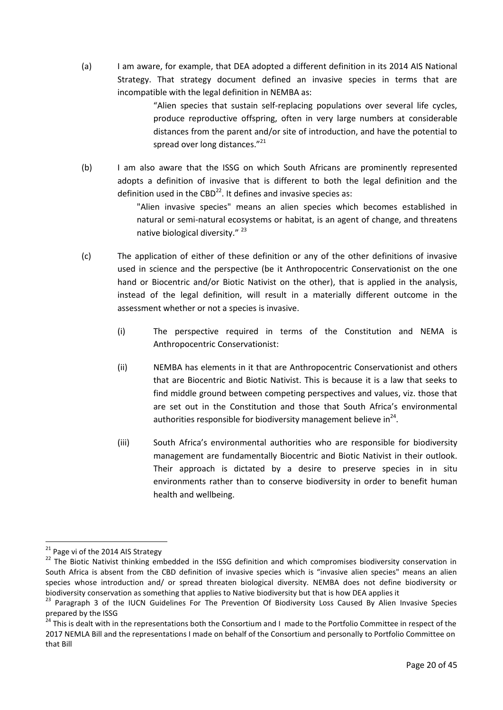(a) I am aware, for example, that DEA adopted a different definition in its 2014 AIS National Strategy. That strategy document defined an invasive species in terms that are incompatible with the legal definition in NEMBA as:

> "Alien species that sustain self-replacing populations over several life cycles, produce reproductive offspring, often in very large numbers at considerable distances from the parent and/or site of introduction, and have the potential to spread over long distances."<sup>21</sup>

(b) I am also aware that the ISSG on which South Africans are prominently represented adopts a definition of invasive that is different to both the legal definition and the definition used in the CBD $^{22}$ . It defines and invasive species as:

> "Alien invasive species" means an alien species which becomes established in natural or semi-natural ecosystems or habitat, is an agent of change, and threatens native biological diversity."<sup>23</sup>

- (c) The application of either of these definition or any of the other definitions of invasive used in science and the perspective (be it Anthropocentric Conservationist on the one hand or Biocentric and/or Biotic Nativist on the other), that is applied in the analysis, instead of the legal definition, will result in a materially different outcome in the assessment whether or not a species is invasive.
	- (i) The perspective required in terms of the Constitution and NEMA is Anthropocentric Conservationist:
	- (ii) NEMBA has elements in it that are Anthropocentric Conservationist and others that are Biocentric and Biotic Nativist. This is because it is a law that seeks to find middle ground between competing perspectives and values, viz. those that are set out in the Constitution and those that South Africa's environmental authorities responsible for biodiversity management believe in $^{24}$ .
	- (iii) South Africa's environmental authorities who are responsible for biodiversity management are fundamentally Biocentric and Biotic Nativist in their outlook. Their approach is dictated by a desire to preserve species in in situ environments rather than to conserve biodiversity in order to benefit human health and wellbeing.

<sup>&</sup>lt;sup>21</sup> Page vi of the 2014 AIS Strategy

<sup>&</sup>lt;sup>22</sup> The Biotic Nativist thinking embedded in the ISSG definition and which compromises biodiversity conservation in South Africa is absent from the CBD definition of invasive species which is "invasive alien species" means an alien species whose introduction and/ or spread threaten biological diversity. NEMBA does not define biodiversity or biodiversity conservation as something that applies to Native biodiversity but that is how DEA applies it

<sup>&</sup>lt;sup>23</sup> Paragraph 3 of the IUCN Guidelines For The Prevention Of Biodiversity Loss Caused By Alien Invasive Species prepared by the ISSG

<sup>&</sup>lt;sup>24</sup> This is dealt with in the representations both the Consortium and I made to the Portfolio Committee in respect of the 2017 NEMLA Bill and the representations I made on behalf of the Consortium and personally to Portfolio Committee on that Bill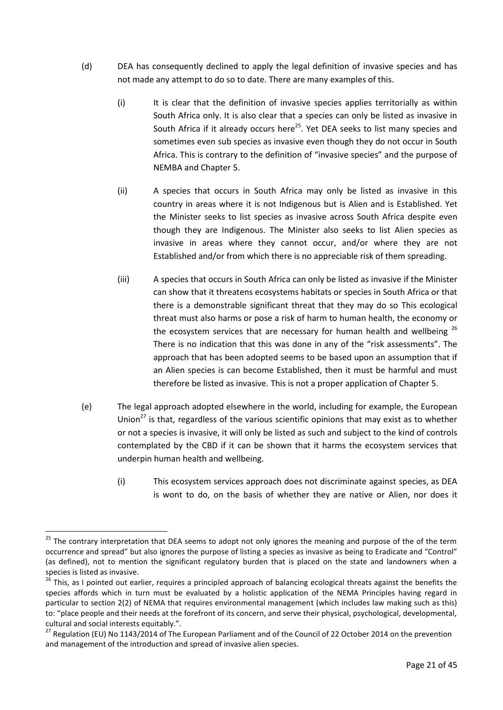- (d) DEA has consequently declined to apply the legal definition of invasive species and has not made any attempt to do so to date. There are many examples of this.
	- (i) It is clear that the definition of invasive species applies territorially as within South Africa only. It is also clear that a species can only be listed as invasive in South Africa if it already occurs here<sup>25</sup>. Yet DEA seeks to list many species and sometimes even sub species as invasive even though they do not occur in South Africa. This is contrary to the definition of "invasive species" and the purpose of NEMBA and Chapter 5.
	- (ii) A species that occurs in South Africa may only be listed as invasive in this country in areas where it is not Indigenous but is Alien and is Established. Yet the Minister seeks to list species as invasive across South Africa despite even though they are Indigenous. The Minister also seeks to list Alien species as invasive in areas where they cannot occur, and/or where they are not Established and/or from which there is no appreciable risk of them spreading.
	- (iii) A species that occurs in South Africa can only be listed as invasive if the Minister can show that it threatens ecosystems habitats or species in South Africa or that there is a demonstrable significant threat that they may do so This ecological threat must also harms or pose a risk of harm to human health, the economy or the ecosystem services that are necessary for human health and wellbeing  $^{26}$ There is no indication that this was done in any of the "risk assessments". The approach that has been adopted seems to be based upon an assumption that if an Alien species is can become Established, then it must be harmful and must therefore be listed as invasive. This is not a proper application of Chapter 5.
- (e) The legal approach adopted elsewhere in the world, including for example, the European Union<sup>27</sup> is that, regardless of the various scientific opinions that may exist as to whether or not a species is invasive, it will only be listed as such and subject to the kind of controls contemplated by the CBD if it can be shown that it harms the ecosystem services that underpin human health and wellbeing.
	- (i) This ecosystem services approach does not discriminate against species, as DEA is wont to do, on the basis of whether they are native or Alien, nor does it

<u>.</u>

<sup>&</sup>lt;sup>25</sup> The contrary interpretation that DEA seems to adopt not only ignores the meaning and purpose of the of the term occurrence and spread" but also ignores the purpose of listing a species as invasive as being to Eradicate and "Control" (as defined), not to mention the significant regulatory burden that is placed on the state and landowners when a species is listed as invasive.

<sup>&</sup>lt;sup>26</sup> This, as I pointed out earlier, requires a principled approach of balancing ecological threats against the benefits the species affords which in turn must be evaluated by a holistic application of the NEMA Principles having regard in particular to section 2(2) of NEMA that requires environmental management (which includes law making such as this) to: "place people and their needs at the forefront of its concern, and serve their physical, psychological, developmental, cultural and social interests equitably.".

<sup>&</sup>lt;sup>27</sup> Regulation (EU) No 1143/2014 of The European Parliament and of the Council of 22 October 2014 on the prevention and management of the introduction and spread of invasive alien species.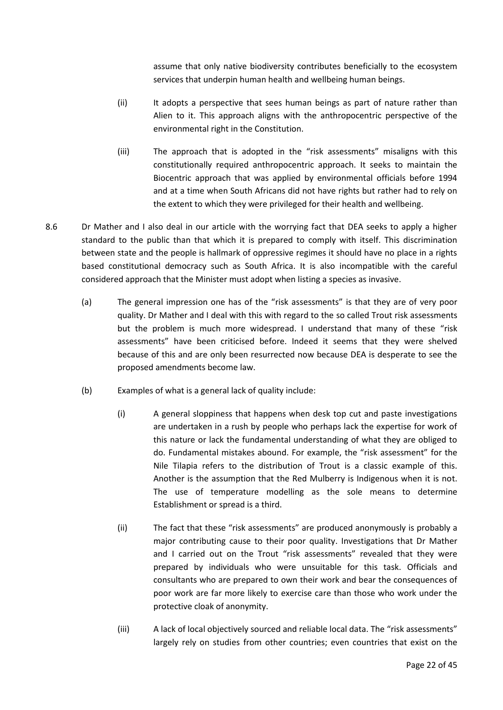assume that only native biodiversity contributes beneficially to the ecosystem services that underpin human health and wellbeing human beings.

- (ii) It adopts a perspective that sees human beings as part of nature rather than Alien to it. This approach aligns with the anthropocentric perspective of the environmental right in the Constitution.
- (iii) The approach that is adopted in the "risk assessments" misaligns with this constitutionally required anthropocentric approach. It seeks to maintain the Biocentric approach that was applied by environmental officials before 1994 and at a time when South Africans did not have rights but rather had to rely on the extent to which they were privileged for their health and wellbeing.
- 8.6 Dr Mather and I also deal in our article with the worrying fact that DEA seeks to apply a higher standard to the public than that which it is prepared to comply with itself. This discrimination between state and the people is hallmark of oppressive regimes it should have no place in a rights based constitutional democracy such as South Africa. It is also incompatible with the careful considered approach that the Minister must adopt when listing a species as invasive.
	- (a) The general impression one has of the "risk assessments" is that they are of very poor quality. Dr Mather and I deal with this with regard to the so called Trout risk assessments but the problem is much more widespread. I understand that many of these "risk assessments" have been criticised before. Indeed it seems that they were shelved because of this and are only been resurrected now because DEA is desperate to see the proposed amendments become law.
	- (b) Examples of what is a general lack of quality include:
		- (i) A general sloppiness that happens when desk top cut and paste investigations are undertaken in a rush by people who perhaps lack the expertise for work of this nature or lack the fundamental understanding of what they are obliged to do. Fundamental mistakes abound. For example, the "risk assessment" for the Nile Tilapia refers to the distribution of Trout is a classic example of this. Another is the assumption that the Red Mulberry is Indigenous when it is not. The use of temperature modelling as the sole means to determine Establishment or spread is a third.
		- (ii) The fact that these "risk assessments" are produced anonymously is probably a major contributing cause to their poor quality. Investigations that Dr Mather and I carried out on the Trout "risk assessments" revealed that they were prepared by individuals who were unsuitable for this task. Officials and consultants who are prepared to own their work and bear the consequences of poor work are far more likely to exercise care than those who work under the protective cloak of anonymity.
		- (iii) A lack of local objectively sourced and reliable local data. The "risk assessments" largely rely on studies from other countries; even countries that exist on the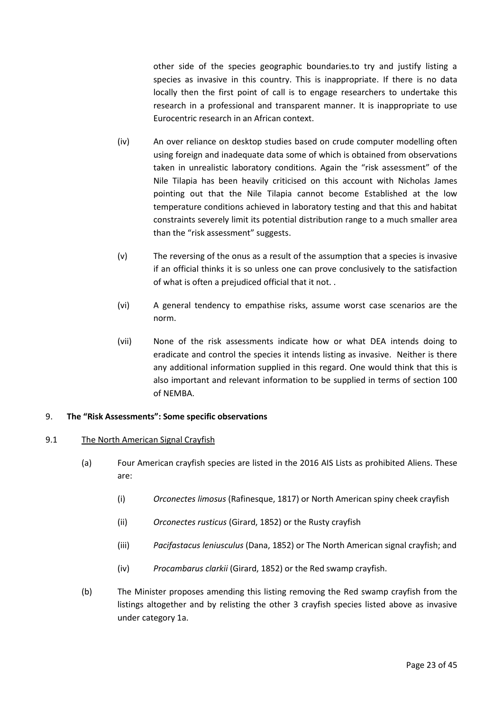other side of the species geographic boundaries.to try and justify listing a species as invasive in this country. This is inappropriate. If there is no data locally then the first point of call is to engage researchers to undertake this research in a professional and transparent manner. It is inappropriate to use Eurocentric research in an African context.

- (iv) An over reliance on desktop studies based on crude computer modelling often using foreign and inadequate data some of which is obtained from observations taken in unrealistic laboratory conditions. Again the "risk assessment" of the Nile Tilapia has been heavily criticised on this account with Nicholas James pointing out that the Nile Tilapia cannot become Established at the low temperature conditions achieved in laboratory testing and that this and habitat constraints severely limit its potential distribution range to a much smaller area than the "risk assessment" suggests.
- (v) The reversing of the onus as a result of the assumption that a species is invasive if an official thinks it is so unless one can prove conclusively to the satisfaction of what is often a prejudiced official that it not. .
- (vi) A general tendency to empathise risks, assume worst case scenarios are the norm.
- (vii) None of the risk assessments indicate how or what DEA intends doing to eradicate and control the species it intends listing as invasive. Neither is there any additional information supplied in this regard. One would think that this is also important and relevant information to be supplied in terms of section 100 of NEMBA.

#### <span id="page-22-0"></span>9. **The "Risk Assessments": Some specific observations**

#### <span id="page-22-1"></span>9.1 The North American Signal Crayfish

- (a) Four American crayfish species are listed in the 2016 AIS Lists as prohibited Aliens. These are:
	- (i) *Orconectes limosus* (Rafinesque, 1817) or North American spiny cheek crayfish
	- (ii) *Orconectes rusticus* (Girard, 1852) or the Rusty crayfish
	- (iii) *Pacifastacus leniusculus* (Dana, 1852) or The North American signal crayfish; and
	- (iv) *Procambarus clarkii* (Girard, 1852) or the Red swamp crayfish.
- (b) The Minister proposes amending this listing removing the Red swamp crayfish from the listings altogether and by relisting the other 3 crayfish species listed above as invasive under category 1a.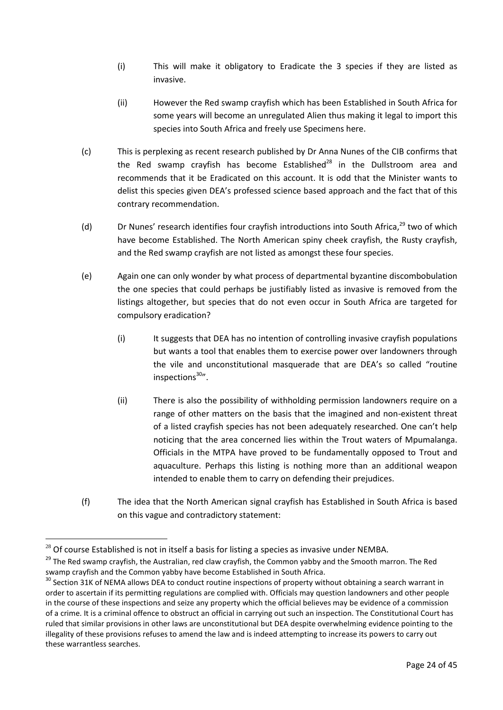- (i) This will make it obligatory to Eradicate the 3 species if they are listed as invasive.
- (ii) However the Red swamp crayfish which has been Established in South Africa for some years will become an unregulated Alien thus making it legal to import this species into South Africa and freely use Specimens here.
- (c) This is perplexing as recent research published by Dr Anna Nunes of the CIB confirms that the Red swamp crayfish has become Established $^{28}$  in the Dullstroom area and recommends that it be Eradicated on this account. It is odd that the Minister wants to delist this species given DEA's professed science based approach and the fact that of this contrary recommendation.
- (d) Dr Nunes' research identifies four crayfish introductions into South Africa.<sup>29</sup> two of which have become Established. The North American spiny cheek crayfish, the Rusty crayfish, and the Red swamp crayfish are not listed as amongst these four species.
- (e) Again one can only wonder by what process of departmental byzantine discombobulation the one species that could perhaps be justifiably listed as invasive is removed from the listings altogether, but species that do not even occur in South Africa are targeted for compulsory eradication?
	- (i) It suggests that DEA has no intention of controlling invasive crayfish populations but wants a tool that enables them to exercise power over landowners through the vile and unconstitutional masquerade that are DEA's so called "routine inspections $30''$ .
	- (ii) There is also the possibility of withholding permission landowners require on a range of other matters on the basis that the imagined and non-existent threat of a listed crayfish species has not been adequately researched. One can't help noticing that the area concerned lies within the Trout waters of Mpumalanga. Officials in the MTPA have proved to be fundamentally opposed to Trout and aquaculture. Perhaps this listing is nothing more than an additional weapon intended to enable them to carry on defending their prejudices.
- (f) The idea that the North American signal crayfish has Established in South Africa is based on this vague and contradictory statement:

<u>.</u>

 $^{28}$  Of course Established is not in itself a basis for listing a species as invasive under NEMBA.

<sup>&</sup>lt;sup>29</sup> The Red swamp cravfish, the Australian, red claw crayfish, the Common yabby and the Smooth marron. The Red swamp crayfish and the Common yabby have become Established in South Africa.

 $30$  Section 31K of NEMA allows DEA to conduct routine inspections of property without obtaining a search warrant in order to ascertain if its permitting regulations are complied with. Officials may question landowners and other people in the course of these inspections and seize any property which the official believes may be evidence of a commission of a crime. It is a criminal offence to obstruct an official in carrying out such an inspection. The Constitutional Court has ruled that similar provisions in other laws are unconstitutional but DEA despite overwhelming evidence pointing to the illegality of these provisions refuses to amend the law and is indeed attempting to increase its powers to carry out these warrantless searches.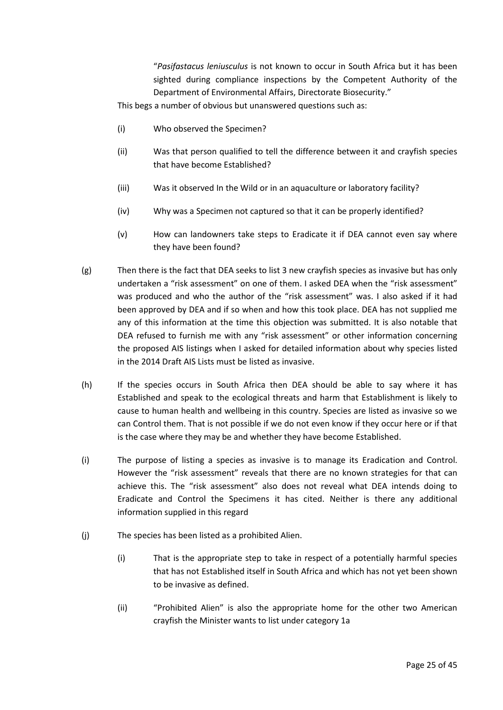"*Pasifastacus leniusculus* is not known to occur in South Africa but it has been sighted during compliance inspections by the Competent Authority of the Department of Environmental Affairs, Directorate Biosecurity."

This begs a number of obvious but unanswered questions such as:

- (i) Who observed the Specimen?
- (ii) Was that person qualified to tell the difference between it and crayfish species that have become Established?
- (iii) Was it observed In the Wild or in an aquaculture or laboratory facility?
- (iv) Why was a Specimen not captured so that it can be properly identified?
- (v) How can landowners take steps to Eradicate it if DEA cannot even say where they have been found?
- (g) Then there is the fact that DEA seeks to list 3 new crayfish species as invasive but has only undertaken a "risk assessment" on one of them. I asked DEA when the "risk assessment" was produced and who the author of the "risk assessment" was. I also asked if it had been approved by DEA and if so when and how this took place. DEA has not supplied me any of this information at the time this objection was submitted. It is also notable that DEA refused to furnish me with any "risk assessment" or other information concerning the proposed AIS listings when I asked for detailed information about why species listed in the 2014 Draft AIS Lists must be listed as invasive.
- (h) If the species occurs in South Africa then DEA should be able to say where it has Established and speak to the ecological threats and harm that Establishment is likely to cause to human health and wellbeing in this country. Species are listed as invasive so we can Control them. That is not possible if we do not even know if they occur here or if that is the case where they may be and whether they have become Established.
- (i) The purpose of listing a species as invasive is to manage its Eradication and Control. However the "risk assessment" reveals that there are no known strategies for that can achieve this. The "risk assessment" also does not reveal what DEA intends doing to Eradicate and Control the Specimens it has cited. Neither is there any additional information supplied in this regard
- (j) The species has been listed as a prohibited Alien.
	- (i) That is the appropriate step to take in respect of a potentially harmful species that has not Established itself in South Africa and which has not yet been shown to be invasive as defined.
	- (ii) "Prohibited Alien" is also the appropriate home for the other two American crayfish the Minister wants to list under category 1a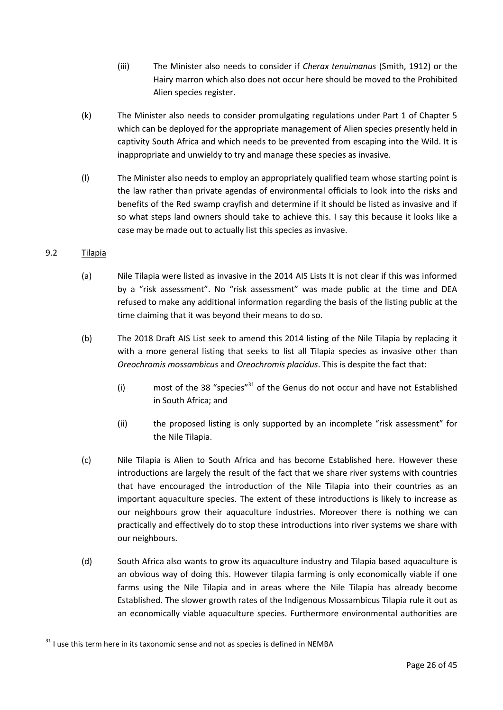- (iii) The Minister also needs to consider if *Cherax tenuimanus* (Smith, 1912) or the Hairy marron which also does not occur here should be moved to the Prohibited Alien species register.
- (k) The Minister also needs to consider promulgating regulations under Part 1 of Chapter 5 which can be deployed for the appropriate management of Alien species presently held in captivity South Africa and which needs to be prevented from escaping into the Wild. It is inappropriate and unwieldy to try and manage these species as invasive.
- (l) The Minister also needs to employ an appropriately qualified team whose starting point is the law rather than private agendas of environmental officials to look into the risks and benefits of the Red swamp crayfish and determine if it should be listed as invasive and if so what steps land owners should take to achieve this. I say this because it looks like a case may be made out to actually list this species as invasive.

## <span id="page-25-0"></span>9.2 Tilapia

- (a) Nile Tilapia were listed as invasive in the 2014 AIS Lists It is not clear if this was informed by a "risk assessment". No "risk assessment" was made public at the time and DEA refused to make any additional information regarding the basis of the listing public at the time claiming that it was beyond their means to do so.
- (b) The 2018 Draft AIS List seek to amend this 2014 listing of the Nile Tilapia by replacing it with a more general listing that seeks to list all Tilapia species as invasive other than *Oreochromis mossambicus* and *Oreochromis placidus*. This is despite the fact that:
	- (i) most of the 38 "species" $31$  of the Genus do not occur and have not Established in South Africa; and
	- (ii) the proposed listing is only supported by an incomplete "risk assessment" for the Nile Tilapia.
- (c) Nile Tilapia is Alien to South Africa and has become Established here. However these introductions are largely the result of the fact that we share river systems with countries that have encouraged the introduction of the Nile Tilapia into their countries as an important aquaculture species. The extent of these introductions is likely to increase as our neighbours grow their aquaculture industries. Moreover there is nothing we can practically and effectively do to stop these introductions into river systems we share with our neighbours.
- (d) South Africa also wants to grow its aquaculture industry and Tilapia based aquaculture is an obvious way of doing this. However tilapia farming is only economically viable if one farms using the Nile Tilapia and in areas where the Nile Tilapia has already become Established. The slower growth rates of the Indigenous Mossambicus Tilapia rule it out as an economically viable aquaculture species. Furthermore environmental authorities are

 $31$  I use this term here in its taxonomic sense and not as species is defined in NEMBA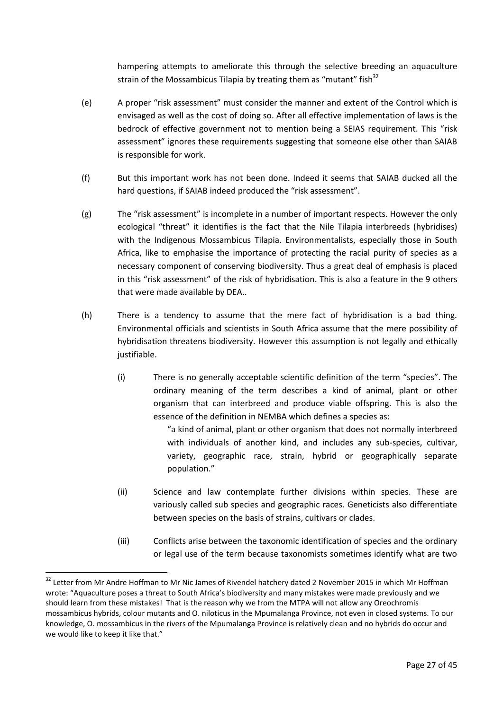hampering attempts to ameliorate this through the selective breeding an aquaculture strain of the Mossambicus Tilapia by treating them as "mutant" fish $32$ 

- (e) A proper "risk assessment" must consider the manner and extent of the Control which is envisaged as well as the cost of doing so. After all effective implementation of laws is the bedrock of effective government not to mention being a SEIAS requirement. This "risk assessment" ignores these requirements suggesting that someone else other than SAIAB is responsible for work.
- (f) But this important work has not been done. Indeed it seems that SAIAB ducked all the hard questions, if SAIAB indeed produced the "risk assessment".
- (g) The "risk assessment" is incomplete in a number of important respects. However the only ecological "threat" it identifies is the fact that the Nile Tilapia interbreeds (hybridises) with the Indigenous Mossambicus Tilapia. Environmentalists, especially those in South Africa, like to emphasise the importance of protecting the racial purity of species as a necessary component of conserving biodiversity. Thus a great deal of emphasis is placed in this "risk assessment" of the risk of hybridisation. This is also a feature in the 9 others that were made available by DEA..
- (h) There is a tendency to assume that the mere fact of hybridisation is a bad thing. Environmental officials and scientists in South Africa assume that the mere possibility of hybridisation threatens biodiversity. However this assumption is not legally and ethically justifiable.
	- (i) There is no generally acceptable scientific definition of the term "species". The ordinary meaning of the term describes a kind of animal, plant or other organism that can interbreed and produce viable offspring. This is also the essence of the definition in NEMBA which defines a species as:

"a kind of animal, plant or other organism that does not normally interbreed with individuals of another kind, and includes any sub-species, cultivar, variety, geographic race, strain, hybrid or geographically separate population."

- (ii) Science and law contemplate further divisions within species. These are variously called sub species and geographic races. Geneticists also differentiate between species on the basis of strains, cultivars or clades.
- (iii) Conflicts arise between the taxonomic identification of species and the ordinary or legal use of the term because taxonomists sometimes identify what are two

<sup>&</sup>lt;sup>32</sup> Letter from Mr Andre Hoffman to Mr Nic James of Rivendel hatchery dated 2 November 2015 in which Mr Hoffman wrote: "Aquaculture poses a threat to South Africa's biodiversity and many mistakes were made previously and we should learn from these mistakes! That is the reason why we from the MTPA will not allow any Oreochromis mossambicus hybrids, colour mutants and O. niloticus in the Mpumalanga Province, not even in closed systems. To our knowledge, O. mossambicus in the rivers of the Mpumalanga Province is relatively clean and no hybrids do occur and we would like to keep it like that."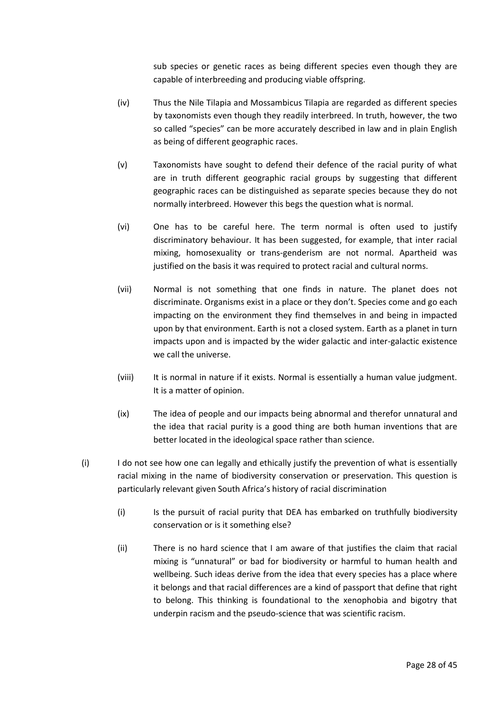sub species or genetic races as being different species even though they are capable of interbreeding and producing viable offspring.

- (iv) Thus the Nile Tilapia and Mossambicus Tilapia are regarded as different species by taxonomists even though they readily interbreed. In truth, however, the two so called "species" can be more accurately described in law and in plain English as being of different geographic races.
- (v) Taxonomists have sought to defend their defence of the racial purity of what are in truth different geographic racial groups by suggesting that different geographic races can be distinguished as separate species because they do not normally interbreed. However this begs the question what is normal.
- (vi) One has to be careful here. The term normal is often used to justify discriminatory behaviour. It has been suggested, for example, that inter racial mixing, homosexuality or trans-genderism are not normal. Apartheid was justified on the basis it was required to protect racial and cultural norms.
- (vii) Normal is not something that one finds in nature. The planet does not discriminate. Organisms exist in a place or they don't. Species come and go each impacting on the environment they find themselves in and being in impacted upon by that environment. Earth is not a closed system. Earth as a planet in turn impacts upon and is impacted by the wider galactic and inter-galactic existence we call the universe.
- (viii) It is normal in nature if it exists. Normal is essentially a human value judgment. It is a matter of opinion.
- (ix) The idea of people and our impacts being abnormal and therefor unnatural and the idea that racial purity is a good thing are both human inventions that are better located in the ideological space rather than science.
- (i) I do not see how one can legally and ethically justify the prevention of what is essentially racial mixing in the name of biodiversity conservation or preservation. This question is particularly relevant given South Africa's history of racial discrimination
	- (i) Is the pursuit of racial purity that DEA has embarked on truthfully biodiversity conservation or is it something else?
	- (ii) There is no hard science that I am aware of that justifies the claim that racial mixing is "unnatural" or bad for biodiversity or harmful to human health and wellbeing. Such ideas derive from the idea that every species has a place where it belongs and that racial differences are a kind of passport that define that right to belong. This thinking is foundational to the xenophobia and bigotry that underpin racism and the pseudo-science that was scientific racism.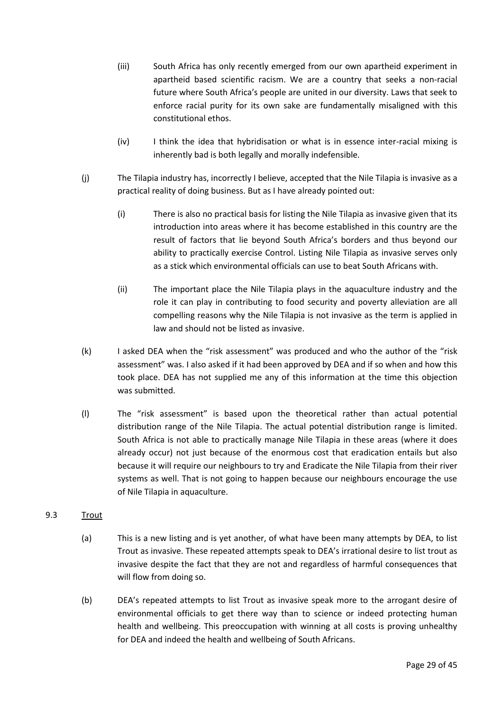- (iii) South Africa has only recently emerged from our own apartheid experiment in apartheid based scientific racism. We are a country that seeks a non-racial future where South Africa's people are united in our diversity. Laws that seek to enforce racial purity for its own sake are fundamentally misaligned with this constitutional ethos.
- (iv) I think the idea that hybridisation or what is in essence inter-racial mixing is inherently bad is both legally and morally indefensible.
- (j) The Tilapia industry has, incorrectly I believe, accepted that the Nile Tilapia is invasive as a practical reality of doing business. But as I have already pointed out:
	- (i) There is also no practical basis for listing the Nile Tilapia as invasive given that its introduction into areas where it has become established in this country are the result of factors that lie beyond South Africa's borders and thus beyond our ability to practically exercise Control. Listing Nile Tilapia as invasive serves only as a stick which environmental officials can use to beat South Africans with.
	- (ii) The important place the Nile Tilapia plays in the aquaculture industry and the role it can play in contributing to food security and poverty alleviation are all compelling reasons why the Nile Tilapia is not invasive as the term is applied in law and should not be listed as invasive.
- (k) I asked DEA when the "risk assessment" was produced and who the author of the "risk assessment" was. I also asked if it had been approved by DEA and if so when and how this took place. DEA has not supplied me any of this information at the time this objection was submitted.
- (l) The "risk assessment" is based upon the theoretical rather than actual potential distribution range of the Nile Tilapia. The actual potential distribution range is limited. South Africa is not able to practically manage Nile Tilapia in these areas (where it does already occur) not just because of the enormous cost that eradication entails but also because it will require our neighbours to try and Eradicate the Nile Tilapia from their river systems as well. That is not going to happen because our neighbours encourage the use of Nile Tilapia in aquaculture.

## <span id="page-28-0"></span>9.3 Trout

- (a) This is a new listing and is yet another, of what have been many attempts by DEA, to list Trout as invasive. These repeated attempts speak to DEA's irrational desire to list trout as invasive despite the fact that they are not and regardless of harmful consequences that will flow from doing so.
- (b) DEA's repeated attempts to list Trout as invasive speak more to the arrogant desire of environmental officials to get there way than to science or indeed protecting human health and wellbeing. This preoccupation with winning at all costs is proving unhealthy for DEA and indeed the health and wellbeing of South Africans.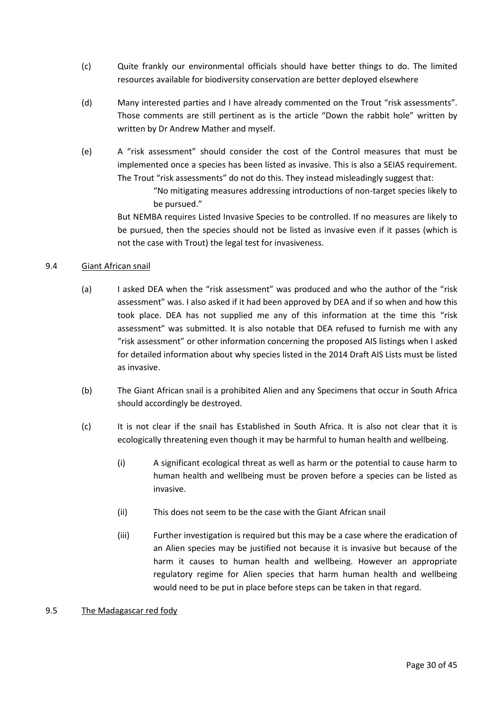- (c) Quite frankly our environmental officials should have better things to do. The limited resources available for biodiversity conservation are better deployed elsewhere
- (d) Many interested parties and I have already commented on the Trout "risk assessments". Those comments are still pertinent as is the article "Down the rabbit hole" written by written by Dr Andrew Mather and myself.
- (e) A "risk assessment" should consider the cost of the Control measures that must be implemented once a species has been listed as invasive. This is also a SEIAS requirement. The Trout "risk assessments" do not do this. They instead misleadingly suggest that:

"No mitigating measures addressing introductions of non-target species likely to be pursued."

But NEMBA requires Listed Invasive Species to be controlled. If no measures are likely to be pursued, then the species should not be listed as invasive even if it passes (which is not the case with Trout) the legal test for invasiveness.

#### <span id="page-29-0"></span>9.4 Giant African snail

- (a) I asked DEA when the "risk assessment" was produced and who the author of the "risk assessment" was. I also asked if it had been approved by DEA and if so when and how this took place. DEA has not supplied me any of this information at the time this "risk assessment" was submitted. It is also notable that DEA refused to furnish me with any "risk assessment" or other information concerning the proposed AIS listings when I asked for detailed information about why species listed in the 2014 Draft AIS Lists must be listed as invasive.
- (b) The Giant African snail is a prohibited Alien and any Specimens that occur in South Africa should accordingly be destroyed.
- (c) It is not clear if the snail has Established in South Africa. It is also not clear that it is ecologically threatening even though it may be harmful to human health and wellbeing.
	- (i) A significant ecological threat as well as harm or the potential to cause harm to human health and wellbeing must be proven before a species can be listed as invasive.
	- (ii) This does not seem to be the case with the Giant African snail
	- (iii) Further investigation is required but this may be a case where the eradication of an Alien species may be justified not because it is invasive but because of the harm it causes to human health and wellbeing. However an appropriate regulatory regime for Alien species that harm human health and wellbeing would need to be put in place before steps can be taken in that regard.

#### <span id="page-29-1"></span>9.5 The Madagascar red fody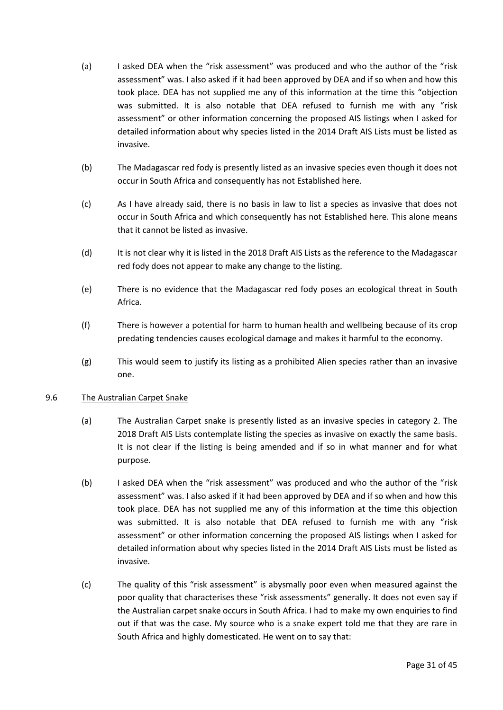- (a) I asked DEA when the "risk assessment" was produced and who the author of the "risk assessment" was. I also asked if it had been approved by DEA and if so when and how this took place. DEA has not supplied me any of this information at the time this "objection was submitted. It is also notable that DEA refused to furnish me with any "risk assessment" or other information concerning the proposed AIS listings when I asked for detailed information about why species listed in the 2014 Draft AIS Lists must be listed as invasive.
- (b) The Madagascar red fody is presently listed as an invasive species even though it does not occur in South Africa and consequently has not Established here.
- (c) As I have already said, there is no basis in law to list a species as invasive that does not occur in South Africa and which consequently has not Established here. This alone means that it cannot be listed as invasive.
- (d) It is not clear why it is listed in the 2018 Draft AIS Lists as the reference to the Madagascar red fody does not appear to make any change to the listing.
- (e) There is no evidence that the Madagascar red fody poses an ecological threat in South Africa.
- (f) There is however a potential for harm to human health and wellbeing because of its crop predating tendencies causes ecological damage and makes it harmful to the economy.
- (g) This would seem to justify its listing as a prohibited Alien species rather than an invasive one.

#### <span id="page-30-0"></span>9.6 The Australian Carpet Snake

- (a) The Australian Carpet snake is presently listed as an invasive species in category 2. The 2018 Draft AIS Lists contemplate listing the species as invasive on exactly the same basis. It is not clear if the listing is being amended and if so in what manner and for what purpose.
- (b) I asked DEA when the "risk assessment" was produced and who the author of the "risk assessment" was. I also asked if it had been approved by DEA and if so when and how this took place. DEA has not supplied me any of this information at the time this objection was submitted. It is also notable that DEA refused to furnish me with any "risk assessment" or other information concerning the proposed AIS listings when I asked for detailed information about why species listed in the 2014 Draft AIS Lists must be listed as invasive.
- (c) The quality of this "risk assessment" is abysmally poor even when measured against the poor quality that characterises these "risk assessments" generally. It does not even say if the Australian carpet snake occurs in South Africa. I had to make my own enquiries to find out if that was the case. My source who is a snake expert told me that they are rare in South Africa and highly domesticated. He went on to say that: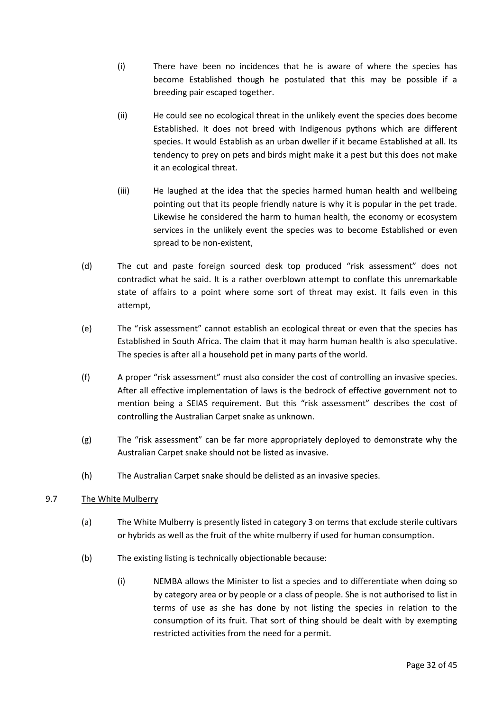- (i) There have been no incidences that he is aware of where the species has become Established though he postulated that this may be possible if a breeding pair escaped together.
- (ii) He could see no ecological threat in the unlikely event the species does become Established. It does not breed with Indigenous pythons which are different species. It would Establish as an urban dweller if it became Established at all. Its tendency to prey on pets and birds might make it a pest but this does not make it an ecological threat.
- (iii) He laughed at the idea that the species harmed human health and wellbeing pointing out that its people friendly nature is why it is popular in the pet trade. Likewise he considered the harm to human health, the economy or ecosystem services in the unlikely event the species was to become Established or even spread to be non-existent,
- (d) The cut and paste foreign sourced desk top produced "risk assessment" does not contradict what he said. It is a rather overblown attempt to conflate this unremarkable state of affairs to a point where some sort of threat may exist. It fails even in this attempt,
- (e) The "risk assessment" cannot establish an ecological threat or even that the species has Established in South Africa. The claim that it may harm human health is also speculative. The species is after all a household pet in many parts of the world.
- (f) A proper "risk assessment" must also consider the cost of controlling an invasive species. After all effective implementation of laws is the bedrock of effective government not to mention being a SEIAS requirement. But this "risk assessment" describes the cost of controlling the Australian Carpet snake as unknown.
- (g) The "risk assessment" can be far more appropriately deployed to demonstrate why the Australian Carpet snake should not be listed as invasive.
- (h) The Australian Carpet snake should be delisted as an invasive species.

## <span id="page-31-0"></span>9.7 The White Mulberry

- (a) The White Mulberry is presently listed in category 3 on terms that exclude sterile cultivars or hybrids as well as the fruit of the white mulberry if used for human consumption.
- (b) The existing listing is technically objectionable because:
	- (i) NEMBA allows the Minister to list a species and to differentiate when doing so by category area or by people or a class of people. She is not authorised to list in terms of use as she has done by not listing the species in relation to the consumption of its fruit. That sort of thing should be dealt with by exempting restricted activities from the need for a permit.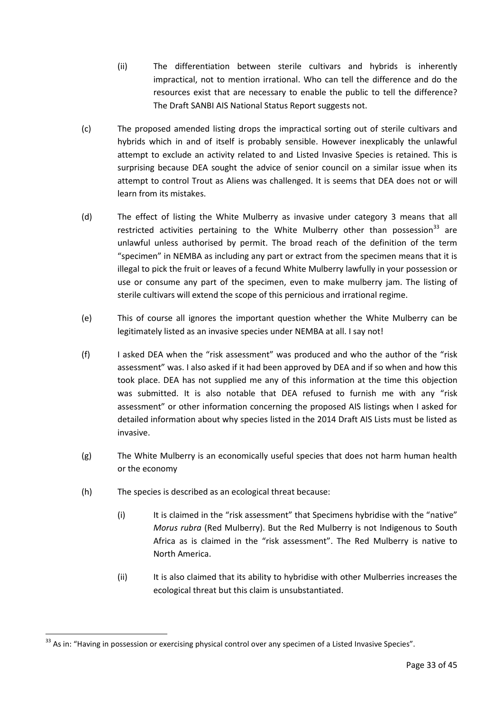- (ii) The differentiation between sterile cultivars and hybrids is inherently impractical, not to mention irrational. Who can tell the difference and do the resources exist that are necessary to enable the public to tell the difference? The Draft SANBI AIS National Status Report suggests not.
- (c) The proposed amended listing drops the impractical sorting out of sterile cultivars and hybrids which in and of itself is probably sensible. However inexplicably the unlawful attempt to exclude an activity related to and Listed Invasive Species is retained. This is surprising because DEA sought the advice of senior council on a similar issue when its attempt to control Trout as Aliens was challenged. It is seems that DEA does not or will learn from its mistakes.
- (d) The effect of listing the White Mulberry as invasive under category 3 means that all restricted activities pertaining to the White Mulberry other than possession<sup>33</sup> are unlawful unless authorised by permit. The broad reach of the definition of the term "specimen" in NEMBA as including any part or extract from the specimen means that it is illegal to pick the fruit or leaves of a fecund White Mulberry lawfully in your possession or use or consume any part of the specimen, even to make mulberry jam. The listing of sterile cultivars will extend the scope of this pernicious and irrational regime.
- (e) This of course all ignores the important question whether the White Mulberry can be legitimately listed as an invasive species under NEMBA at all. I say not!
- (f) I asked DEA when the "risk assessment" was produced and who the author of the "risk assessment" was. I also asked if it had been approved by DEA and if so when and how this took place. DEA has not supplied me any of this information at the time this objection was submitted. It is also notable that DEA refused to furnish me with any "risk assessment" or other information concerning the proposed AIS listings when I asked for detailed information about why species listed in the 2014 Draft AIS Lists must be listed as invasive.
- (g) The White Mulberry is an economically useful species that does not harm human health or the economy
- (h) The species is described as an ecological threat because:
	- (i) It is claimed in the "risk assessment" that Specimens hybridise with the "native" *Morus rubra* (Red Mulberry). But the Red Mulberry is not Indigenous to South Africa as is claimed in the "risk assessment". The Red Mulberry is native to North America.
	- (ii) It is also claimed that its ability to hybridise with other Mulberries increases the ecological threat but this claim is unsubstantiated.

<sup>&</sup>lt;sup>33</sup> As in: "Having in possession or exercising physical control over any specimen of a Listed Invasive Species".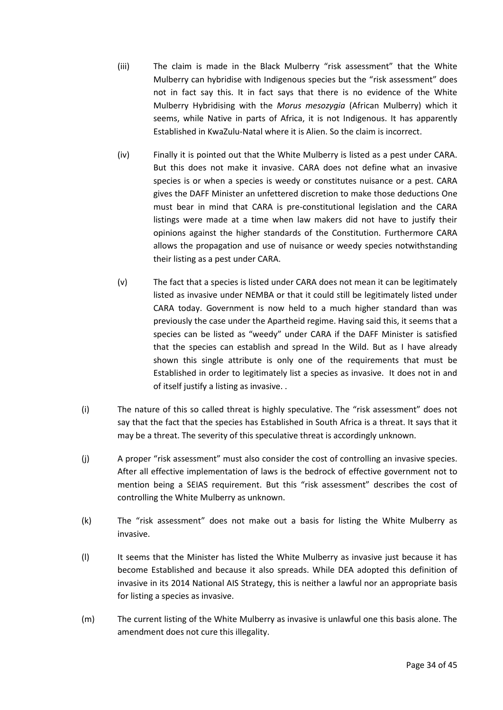- (iii) The claim is made in the Black Mulberry "risk assessment" that the White Mulberry can hybridise with Indigenous species but the "risk assessment" does not in fact say this. It in fact says that there is no evidence of the White Mulberry Hybridising with the *Morus mesozygia* (African Mulberry) which it seems, while Native in parts of Africa, it is not Indigenous. It has apparently Established in KwaZulu-Natal where it is Alien. So the claim is incorrect.
- (iv) Finally it is pointed out that the White Mulberry is listed as a pest under CARA. But this does not make it invasive. CARA does not define what an invasive species is or when a species is weedy or constitutes nuisance or a pest. CARA gives the DAFF Minister an unfettered discretion to make those deductions One must bear in mind that CARA is pre-constitutional legislation and the CARA listings were made at a time when law makers did not have to justify their opinions against the higher standards of the Constitution. Furthermore CARA allows the propagation and use of nuisance or weedy species notwithstanding their listing as a pest under CARA.
- (v) The fact that a species is listed under CARA does not mean it can be legitimately listed as invasive under NEMBA or that it could still be legitimately listed under CARA today. Government is now held to a much higher standard than was previously the case under the Apartheid regime. Having said this, it seems that a species can be listed as "weedy" under CARA if the DAFF Minister is satisfied that the species can establish and spread In the Wild. But as I have already shown this single attribute is only one of the requirements that must be Established in order to legitimately list a species as invasive. It does not in and of itself justify a listing as invasive. .
- (i) The nature of this so called threat is highly speculative. The "risk assessment" does not say that the fact that the species has Established in South Africa is a threat. It says that it may be a threat. The severity of this speculative threat is accordingly unknown.
- (j) A proper "risk assessment" must also consider the cost of controlling an invasive species. After all effective implementation of laws is the bedrock of effective government not to mention being a SEIAS requirement. But this "risk assessment" describes the cost of controlling the White Mulberry as unknown.
- (k) The "risk assessment" does not make out a basis for listing the White Mulberry as invasive.
- (l) It seems that the Minister has listed the White Mulberry as invasive just because it has become Established and because it also spreads. While DEA adopted this definition of invasive in its 2014 National AIS Strategy, this is neither a lawful nor an appropriate basis for listing a species as invasive.
- (m) The current listing of the White Mulberry as invasive is unlawful one this basis alone. The amendment does not cure this illegality.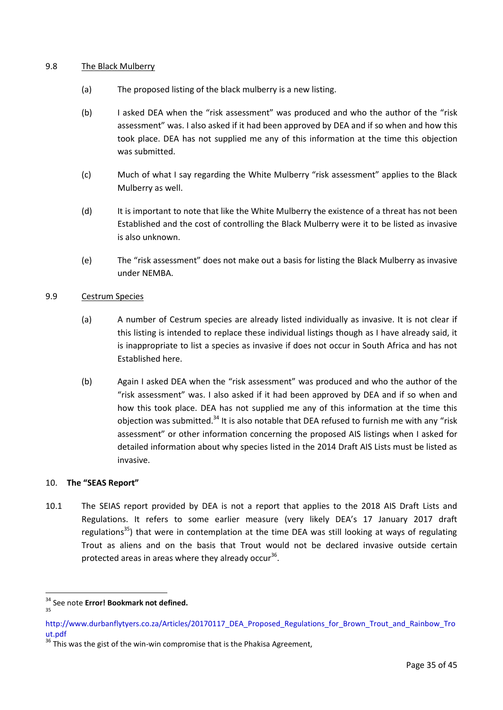#### <span id="page-34-0"></span>9.8 The Black Mulberry

- (a) The proposed listing of the black mulberry is a new listing.
- (b) I asked DEA when the "risk assessment" was produced and who the author of the "risk assessment" was. I also asked if it had been approved by DEA and if so when and how this took place. DEA has not supplied me any of this information at the time this objection was submitted.
- (c) Much of what I say regarding the White Mulberry "risk assessment" applies to the Black Mulberry as well.
- (d) It is important to note that like the White Mulberry the existence of a threat has not been Established and the cost of controlling the Black Mulberry were it to be listed as invasive is also unknown.
- (e) The "risk assessment" does not make out a basis for listing the Black Mulberry as invasive under NEMBA.

#### <span id="page-34-1"></span>9.9 Cestrum Species

- (a) A number of Cestrum species are already listed individually as invasive. It is not clear if this listing is intended to replace these individual listings though as I have already said, it is inappropriate to list a species as invasive if does not occur in South Africa and has not Established here.
- (b) Again I asked DEA when the "risk assessment" was produced and who the author of the "risk assessment" was. I also asked if it had been approved by DEA and if so when and how this took place. DEA has not supplied me any of this information at the time this objection was submitted.<sup>34</sup> It is also notable that DEA refused to furnish me with any "risk assessment" or other information concerning the proposed AIS listings when I asked for detailed information about why species listed in the 2014 Draft AIS Lists must be listed as invasive.

#### <span id="page-34-2"></span>10. **The "SEAS Report"**

10.1 The SEIAS report provided by DEA is not a report that applies to the 2018 AIS Draft Lists and Regulations. It refers to some earlier measure (very likely DEA's 17 January 2017 draft regulations<sup>35</sup>) that were in contemplation at the time DEA was still looking at ways of regulating Trout as aliens and on the basis that Trout would not be declared invasive outside certain protected areas in areas where they already occur<sup>36</sup>.

<sup>34</sup> See note **Error! Bookmark not defined.**

<sup>35</sup>

http://www.durbanflytyers.co.za/Articles/20170117\_DEA\_Proposed\_Regulations\_for\_Brown\_Trout\_and\_Rainbow\_Tro ut.pdf

 $36$  This was the gist of the win-win compromise that is the Phakisa Agreement,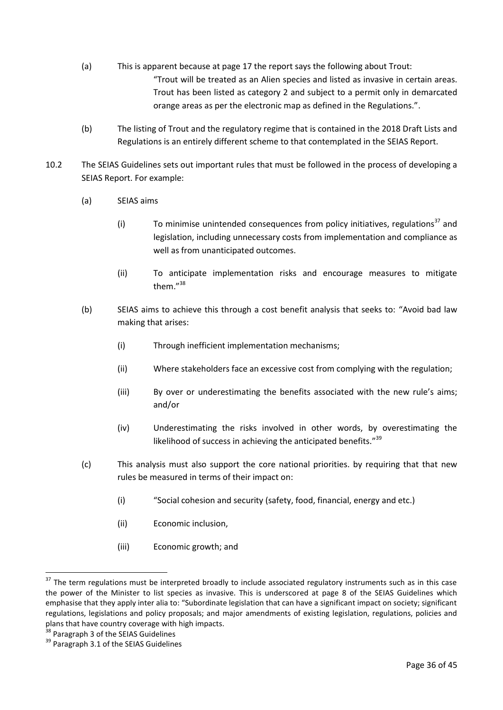- (a) This is apparent because at page 17 the report says the following about Trout: "Trout will be treated as an Alien species and listed as invasive in certain areas. Trout has been listed as category 2 and subject to a permit only in demarcated orange areas as per the electronic map as defined in the Regulations.".
- (b) The listing of Trout and the regulatory regime that is contained in the 2018 Draft Lists and Regulations is an entirely different scheme to that contemplated in the SEIAS Report.
- 10.2 The SEIAS Guidelines sets out important rules that must be followed in the process of developing a SEIAS Report. For example:
	- (a) SEIAS aims
		- (i) To minimise unintended consequences from policy initiatives, regulations<sup>37</sup> and legislation, including unnecessary costs from implementation and compliance as well as from unanticipated outcomes.
		- (ii) To anticipate implementation risks and encourage measures to mitigate them."<sup>38</sup>
	- (b) SEIAS aims to achieve this through a cost benefit analysis that seeks to: "Avoid bad law making that arises:
		- (i) Through inefficient implementation mechanisms;
		- (ii) Where stakeholders face an excessive cost from complying with the regulation;
		- (iii) By over or underestimating the benefits associated with the new rule's aims; and/or
		- (iv) Underestimating the risks involved in other words, by overestimating the likelihood of success in achieving the anticipated benefits."<sup>39</sup>
	- (c) This analysis must also support the core national priorities. by requiring that that new rules be measured in terms of their impact on:
		- (i) "Social cohesion and security (safety, food, financial, energy and etc.)
		- (ii) Economic inclusion,
		- (iii) Economic growth; and

<sup>&</sup>lt;sup>37</sup> The term regulations must be interpreted broadly to include associated regulatory instruments such as in this case the power of the Minister to list species as invasive. This is underscored at page 8 of the SEIAS Guidelines which emphasise that they apply inter alia to: "Subordinate legislation that can have a significant impact on society; significant regulations, legislations and policy proposals; and major amendments of existing legislation, regulations, policies and plans that have country coverage with high impacts.

 $3$  Paragraph 3 of the SEIAS Guidelines

<sup>&</sup>lt;sup>39</sup> Paragraph 3.1 of the SEIAS Guidelines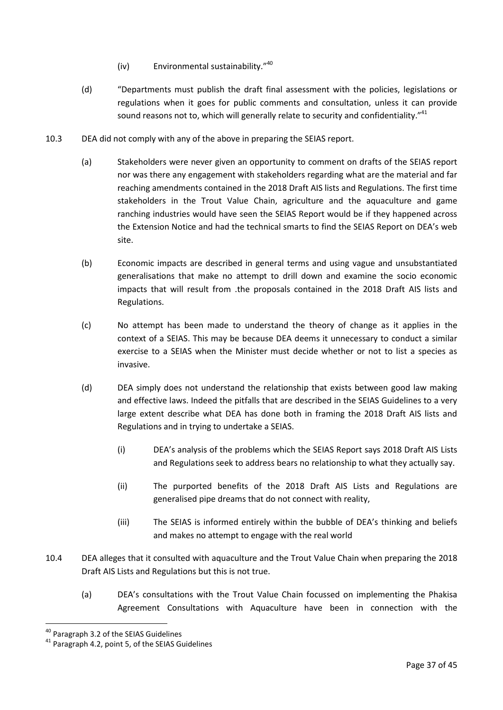- (iv) Environmental sustainability."<sup>40</sup>
- (d) "Departments must publish the draft final assessment with the policies, legislations or regulations when it goes for public comments and consultation, unless it can provide sound reasons not to, which will generally relate to security and confidentiality."<sup>41</sup>
- 10.3 DEA did not comply with any of the above in preparing the SEIAS report.
	- (a) Stakeholders were never given an opportunity to comment on drafts of the SEIAS report nor was there any engagement with stakeholders regarding what are the material and far reaching amendments contained in the 2018 Draft AIS lists and Regulations. The first time stakeholders in the Trout Value Chain, agriculture and the aquaculture and game ranching industries would have seen the SEIAS Report would be if they happened across the Extension Notice and had the technical smarts to find the SEIAS Report on DEA's web site.
	- (b) Economic impacts are described in general terms and using vague and unsubstantiated generalisations that make no attempt to drill down and examine the socio economic impacts that will result from .the proposals contained in the 2018 Draft AIS lists and Regulations.
	- (c) No attempt has been made to understand the theory of change as it applies in the context of a SEIAS. This may be because DEA deems it unnecessary to conduct a similar exercise to a SEIAS when the Minister must decide whether or not to list a species as invasive.
	- (d) DEA simply does not understand the relationship that exists between good law making and effective laws. Indeed the pitfalls that are described in the SEIAS Guidelines to a very large extent describe what DEA has done both in framing the 2018 Draft AIS lists and Regulations and in trying to undertake a SEIAS.
		- (i) DEA's analysis of the problems which the SEIAS Report says 2018 Draft AIS Lists and Regulations seek to address bears no relationship to what they actually say.
		- (ii) The purported benefits of the 2018 Draft AIS Lists and Regulations are generalised pipe dreams that do not connect with reality,
		- (iii) The SEIAS is informed entirely within the bubble of DEA's thinking and beliefs and makes no attempt to engage with the real world
- 10.4 DEA alleges that it consulted with aquaculture and the Trout Value Chain when preparing the 2018 Draft AIS Lists and Regulations but this is not true.
	- (a) DEA's consultations with the Trout Value Chain focussed on implementing the Phakisa Agreement Consultations with Aquaculture have been in connection with the

<u>.</u>

<sup>&</sup>lt;sup>40</sup> Paragraph 3.2 of the SEIAS Guidelines

<sup>&</sup>lt;sup>41</sup> Paragraph 4.2, point 5, of the SEIAS Guidelines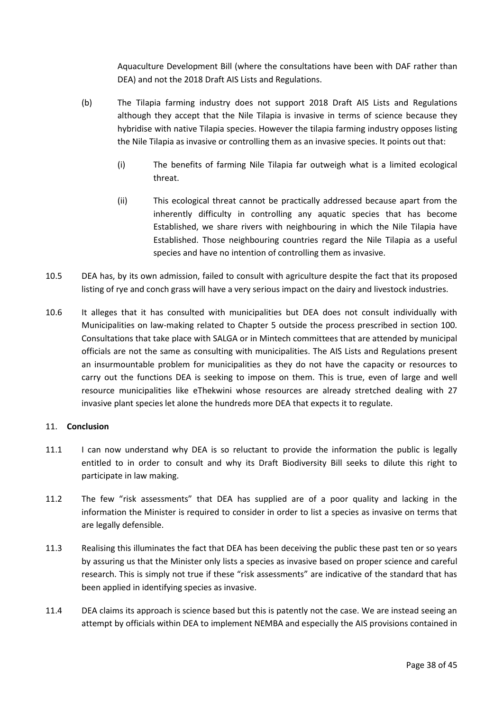Aquaculture Development Bill (where the consultations have been with DAF rather than DEA) and not the 2018 Draft AIS Lists and Regulations.

- (b) The Tilapia farming industry does not support 2018 Draft AIS Lists and Regulations although they accept that the Nile Tilapia is invasive in terms of science because they hybridise with native Tilapia species. However the tilapia farming industry opposes listing the Nile Tilapia as invasive or controlling them as an invasive species. It points out that:
	- (i) The benefits of farming Nile Tilapia far outweigh what is a limited ecological threat.
	- (ii) This ecological threat cannot be practically addressed because apart from the inherently difficulty in controlling any aquatic species that has become Established, we share rivers with neighbouring in which the Nile Tilapia have Established. Those neighbouring countries regard the Nile Tilapia as a useful species and have no intention of controlling them as invasive.
- 10.5 DEA has, by its own admission, failed to consult with agriculture despite the fact that its proposed listing of rye and conch grass will have a very serious impact on the dairy and livestock industries.
- 10.6 It alleges that it has consulted with municipalities but DEA does not consult individually with Municipalities on law-making related to Chapter 5 outside the process prescribed in section 100. Consultations that take place with SALGA or in Mintech committees that are attended by municipal officials are not the same as consulting with municipalities. The AIS Lists and Regulations present an insurmountable problem for municipalities as they do not have the capacity or resources to carry out the functions DEA is seeking to impose on them. This is true, even of large and well resource municipalities like eThekwini whose resources are already stretched dealing with 27 invasive plant species let alone the hundreds more DEA that expects it to regulate.

#### <span id="page-37-0"></span>11. **Conclusion**

- 11.1 I can now understand why DEA is so reluctant to provide the information the public is legally entitled to in order to consult and why its Draft Biodiversity Bill seeks to dilute this right to participate in law making.
- 11.2 The few "risk assessments" that DEA has supplied are of a poor quality and lacking in the information the Minister is required to consider in order to list a species as invasive on terms that are legally defensible.
- 11.3 Realising this illuminates the fact that DEA has been deceiving the public these past ten or so years by assuring us that the Minister only lists a species as invasive based on proper science and careful research. This is simply not true if these "risk assessments" are indicative of the standard that has been applied in identifying species as invasive.
- 11.4 DEA claims its approach is science based but this is patently not the case. We are instead seeing an attempt by officials within DEA to implement NEMBA and especially the AIS provisions contained in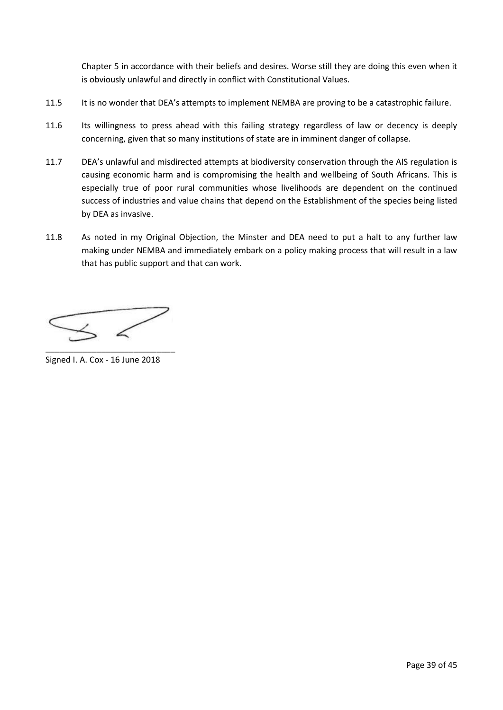Chapter 5 in accordance with their beliefs and desires. Worse still they are doing this even when it is obviously unlawful and directly in conflict with Constitutional Values.

- 11.5 It is no wonder that DEA's attempts to implement NEMBA are proving to be a catastrophic failure.
- 11.6 Its willingness to press ahead with this failing strategy regardless of law or decency is deeply concerning, given that so many institutions of state are in imminent danger of collapse.
- 11.7 DEA's unlawful and misdirected attempts at biodiversity conservation through the AIS regulation is causing economic harm and is compromising the health and wellbeing of South Africans. This is especially true of poor rural communities whose livelihoods are dependent on the continued success of industries and value chains that depend on the Establishment of the species being listed by DEA as invasive.
- 11.8 As noted in my Original Objection, the Minster and DEA need to put a halt to any further law making under NEMBA and immediately embark on a policy making process that will result in a law that has public support and that can work.

\_\_\_\_\_\_\_\_\_\_\_\_\_\_\_\_\_\_\_\_\_\_\_\_\_\_\_\_

Signed I. A. Cox - 16 June 2018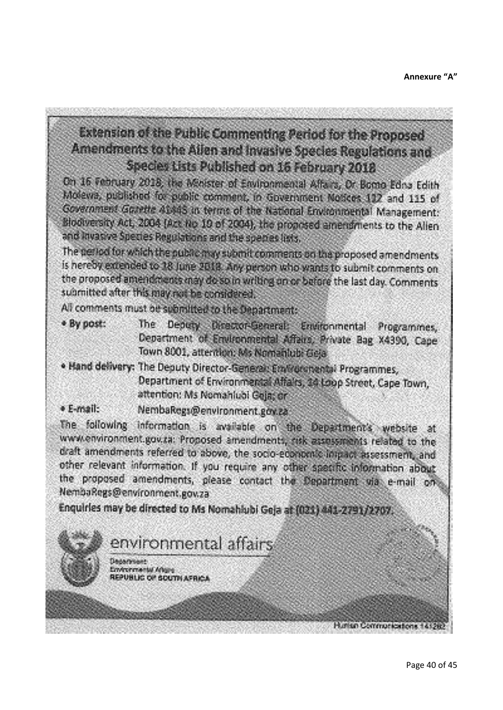# <span id="page-39-0"></span>Extension of the Public Commenting Period for the Proposed Amendments to the Allen and Invasive Species Regulations and Species Lists Published on 16 February 2018

On 16 February 2018, the Minister of Environmental Affairs, Or Bomo Edito Edith Molevia, published for public comment, in Government Notices 132 and 115 of Government Govette 41445 in terms of the National Environmental Management: Blookversity Act, 2004 (Act No 10 of 2004), the proposed amendments to the Allen and kivasive Species Regulations and the species lists.

The period for which the public may submit comments on the proposed amendments is hereby extended to 18 June 2018. Any person who wants to submit comments on the proposed amendments may do so in writing on or before the last day. Comments submitted after this may not be considered.

All comments must be submitted to the Department:

- The Deputy Director-General: Emironmental Programmes, \* By post: Department of Environmental Affairs, Private Bag X4390, Cape Town 8001, attention: Ms Nomahlubi Geja
- . Hand delivery: The Deputy Director-General: Emlironmental Programmes, Department of Environmental Affairs, 34 Loop Street, Cape Town, attention: Ms Nomahlubi Geia: or
- · E-mail: NembaRegs@environment.gov.za

The following information is available on the Department's website at www.environment.gov.za: Proposed amendments, risk assessments related to the draft amendments referred to above, the socio-economic impact assessment, and other relevant information. If you require any other specific information about the proposed amendments, please contact the Department via e-mail on NembaRegs@environment.gov.za

Enquirles may be directed to Ms Nomahlubi Geja at (021) 441-2791/2707.

environmental affairs

**TANAPHAM** Environmental Artistis PUBLIC OF SOUTH AFRICA

Hurish Communications 1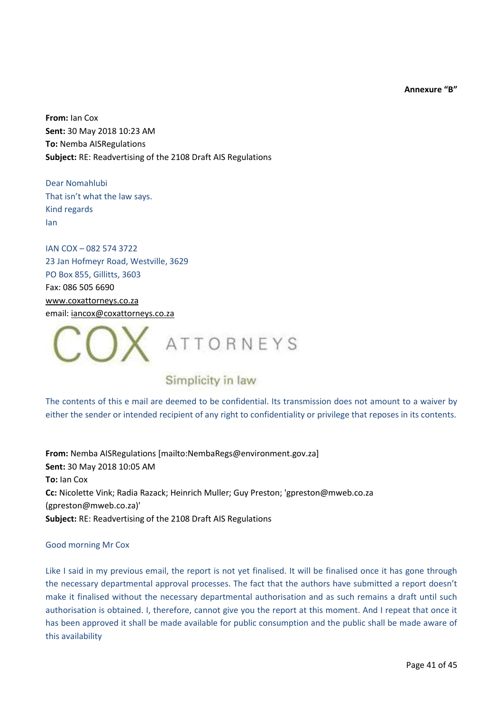**Annexure "B"**

<span id="page-40-0"></span>**From:** Ian Cox **Sent:** 30 May 2018 10:23 AM **To:** Nemba AISRegulations **Subject:** RE: Readvertising of the 2108 Draft AIS Regulations

Dear Nomahlubi That isn't what the law says. Kind regards Ian

IAN COX – 082 574 3722 23 Jan Hofmeyr Road, Westville, 3629 PO Box 855, Gillitts, 3603 Fax: 086 505 6690 [www.coxattorneys.co.za](http://www.coxattorneys.co.za/) email: [iancox@coxattorneys.co.za](mailto:iancox@coxattorneys.co.za)



## Simplicity in law

The contents of this e mail are deemed to be confidential. Its transmission does not amount to a waiver by either the sender or intended recipient of any right to confidentiality or privilege that reposes in its contents.

**From:** Nemba AISRegulations [mailto:NembaRegs@environment.gov.za] **Sent:** 30 May 2018 10:05 AM **To:** Ian Cox **Cc:** Nicolette Vink; Radia Razack; Heinrich Muller; Guy Preston; 'gpreston@mweb.co.za (gpreston@mweb.co.za)' **Subject:** RE: Readvertising of the 2108 Draft AIS Regulations

#### Good morning Mr Cox

Like I said in my previous email, the report is not yet finalised. It will be finalised once it has gone through the necessary departmental approval processes. The fact that the authors have submitted a report doesn't make it finalised without the necessary departmental authorisation and as such remains a draft until such authorisation is obtained. I, therefore, cannot give you the report at this moment. And I repeat that once it has been approved it shall be made available for public consumption and the public shall be made aware of this availability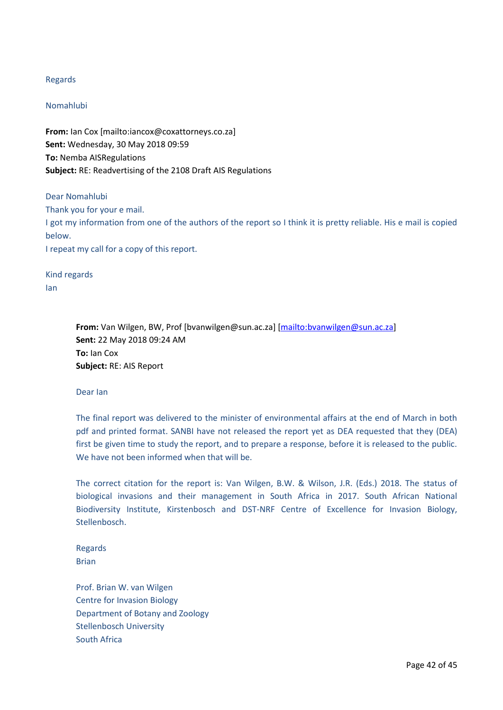#### Regards

#### Nomahlubi

**From:** Ian Cox [mailto:iancox@coxattorneys.co.za] **Sent:** Wednesday, 30 May 2018 09:59 **To:** Nemba AISRegulations **Subject:** RE: Readvertising of the 2108 Draft AIS Regulations

Dear Nomahlubi Thank you for your e mail. I got my information from one of the authors of the report so I think it is pretty reliable. His e mail is copied below. I repeat my call for a copy of this report.

Kind regards Ian

> **From:** Van Wilgen, BW, Prof [bvanwilgen@sun.ac.za] [\[mailto:bvanwilgen@sun.ac.za\]](mailto:bvanwilgen@sun.ac.za) **Sent:** 22 May 2018 09:24 AM **To:** Ian Cox **Subject:** RE: AIS Report

#### Dear Ian

The final report was delivered to the minister of environmental affairs at the end of March in both pdf and printed format. SANBI have not released the report yet as DEA requested that they (DEA) first be given time to study the report, and to prepare a response, before it is released to the public. We have not been informed when that will be.

The correct citation for the report is: Van Wilgen, B.W. & Wilson, J.R. (Eds.) 2018. The status of biological invasions and their management in South Africa in 2017. South African National Biodiversity Institute, Kirstenbosch and DST-NRF Centre of Excellence for Invasion Biology, Stellenbosch.

Regards Brian

Prof. Brian W. van Wilgen Centre for Invasion Biology Department of Botany and Zoology Stellenbosch University South Africa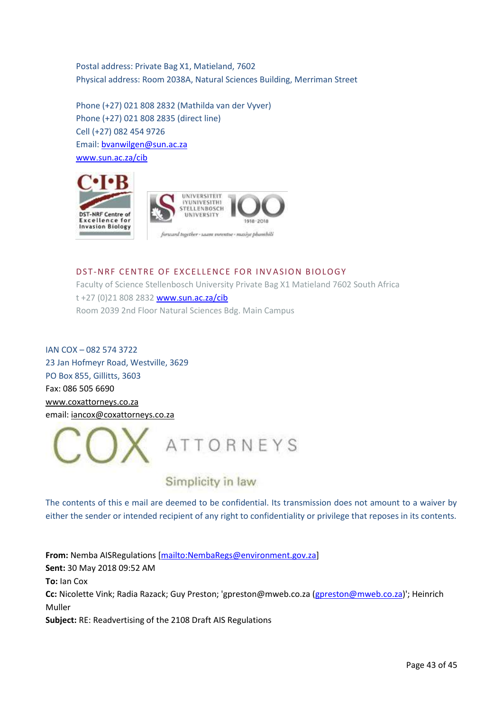Postal address: Private Bag X1, Matieland, 7602 Physical address: Room 2038A, Natural Sciences Building, Merriman Street

Phone (+27) 021 808 2832 (Mathilda van der Vyver) Phone (+27) 021 808 2835 (direct line) Cell (+27) 082 454 9726 Email: [bvanwilgen@sun.ac.za](mailto:bvanwilgen@sun.ac.za) [www.sun.ac.za/cib](http://www.sun.ac.za/cib)



#### DST-NRF CENTRE OF EXCELLENCE FOR INVASION BIOLOGY

Faculty of Science Stellenbosch University Private Bag X1 Matieland 7602 South Africa t +27 (0)21 808 2832 [www.sun.ac.za/cib](http://www.sun.ac.za/cib) Room 2039 2nd Floor Natural Sciences Bdg. Main Campus

IAN COX – 082 574 3722 23 Jan Hofmeyr Road, Westville, 3629 PO Box 855, Gillitts, 3603 Fax: 086 505 6690 [www.coxattorneys.co.za](http://www.coxattorneys.co.za/) email: [iancox@coxattorneys.co.za](mailto:iancox@coxattorneys.co.za)



## Simplicity in law

The contents of this e mail are deemed to be confidential. Its transmission does not amount to a waiver by either the sender or intended recipient of any right to confidentiality or privilege that reposes in its contents.

**From:** Nemba AISRegulations [\[mailto:NembaRegs@environment.gov.za\]](mailto:NembaRegs@environment.gov.za) **Sent:** 30 May 2018 09:52 AM **To:** Ian Cox **Cc:** Nicolette Vink; Radia Razack; Guy Preston; 'gpreston@mweb.co.za [\(gpreston@mweb.co.za\)](mailto:gpreston@mweb.co.za)'; Heinrich Muller **Subject:** RE: Readvertising of the 2108 Draft AIS Regulations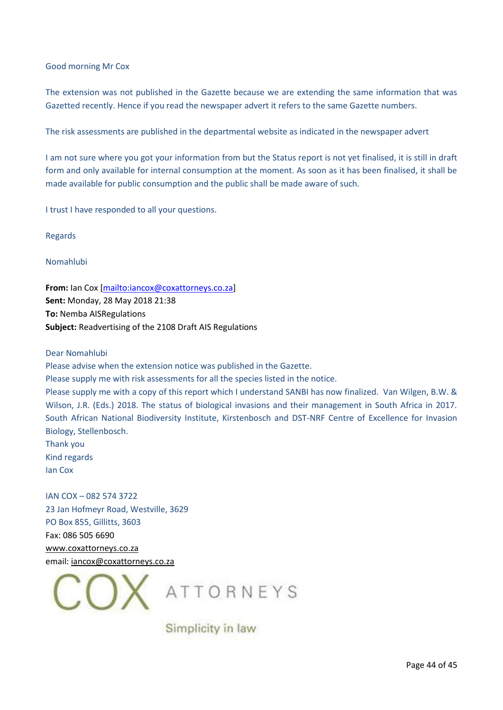#### Good morning Mr Cox

The extension was not published in the Gazette because we are extending the same information that was Gazetted recently. Hence if you read the newspaper advert it refers to the same Gazette numbers.

The risk assessments are published in the departmental website as indicated in the newspaper advert

I am not sure where you got your information from but the Status report is not yet finalised, it is still in draft form and only available for internal consumption at the moment. As soon as it has been finalised, it shall be made available for public consumption and the public shall be made aware of such.

I trust I have responded to all your questions.

Regards

#### Nomahlubi

**From:** Ian Cox [\[mailto:iancox@coxattorneys.co.za\]](mailto:iancox@coxattorneys.co.za) **Sent:** Monday, 28 May 2018 21:38 **To:** Nemba AISRegulations **Subject:** Readvertising of the 2108 Draft AIS Regulations

#### Dear Nomahlubi

Please advise when the extension notice was published in the Gazette.

Please supply me with risk assessments for all the species listed in the notice.

Please supply me with a copy of this report which I understand SANBI has now finalized. Van Wilgen, B.W. & Wilson, J.R. (Eds.) 2018. The status of biological invasions and their management in South Africa in 2017. South African National Biodiversity Institute, Kirstenbosch and DST-NRF Centre of Excellence for Invasion Biology, Stellenbosch.

Thank you Kind regards Ian Cox

IAN COX – 082 574 3722 23 Jan Hofmeyr Road, Westville, 3629 PO Box 855, Gillitts, 3603 Fax: 086 505 6690 [www.coxattorneys.co.za](http://www.coxattorneys.co.za/) email: [iancox@coxattorneys.co.za](mailto:iancox@coxattorneys.co.za)



Simplicity in law